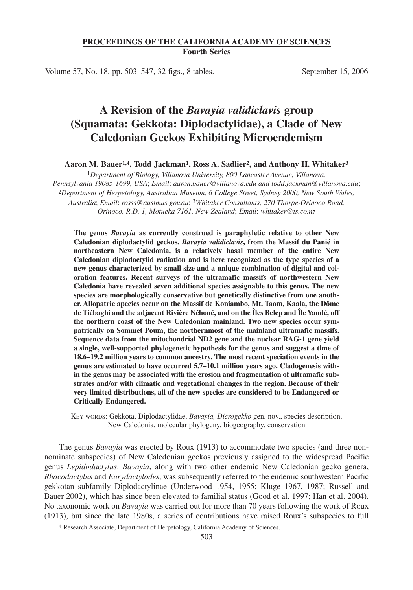## **PROCEEDINGS OF THE CALIFORNIA ACADEMY OF SCIENCES Fourth Series**

Volume 57, No. 18, pp. 503–547, 32 figs., 8 tables. September 15, 2006

# **A Revision of the** *Bavayia validiclavis* **group (Squamata: Gekkota: Diplodactylidae), a Clade of New Caledonian Geckos Exhibiting Microendemism**

**Aaron M. Bauer1,4, Todd Jackman1, Ross A. Sadlier2, and Anthony H. Whitaker3**

1*Department of Biology, Villanova University, 800 Lancaster Avenue, Villanova, Pennsylvania 19085-1699, USA*; *Email*: *aaron.bauer@villanova.edu and todd.jackman@villanova.edu*; 2*Department of Herpetology, Australian Museum, 6 College Street, Sydney 2000, New South Wales, Australia*; *Email*: *rosss@austmus.gov.au*; 3*Whitaker Consultants, 270 Thorpe-Orinoco Road, Orinoco, R.D. 1, Motueka 7161, New Zealand*; *Email*: *whitaker@ts.co.nz*

**The genus** *Bavayia* **as currently construed is paraphyletic relative to other New Caledonian diplodactylid geckos.** *Bavayia validiclavis***, from the Massif du Panié in northeastern New Caledonia, is a relatively basal member of the entire New Caledonian diplodactylid radiation and is here recognized as the type species of a new genus characterized by small size and a unique combination of digital and coloration features. Recent surveys of the ultramafic massifs of northwestern New Caledonia have revealed seven additional species assignable to this genus. The new species are morphologically conservative but genetically distinctive from one another. Allopatric apecies occur on the Massif de Koniambo, Mt. Taom, Kaala, the Dôme de Tiébaghi and the adjacent Rivière Néhoué, and on the Îles Belep and Île Yandé, off the northern coast of the New Caledonian mainland. Two new species occur sympatrically on Sommet Poum, the northernmost of the mainland ultramafic massifs. Sequence data from the mitochondrial ND2 gene and the nuclear RAG-1 gene yield a single, well-supported phylogenetic hypothesis for the genus and suggest a time of 18.6–19.2 million years to common ancestry. The most recent speciation events in the genus are estimated to have occurred 5.7–10.1 million years ago. Cladogenesis within the genus may be associated with the erosion and fragmentation of ultramafic substrates and/or with climatic and vegetational changes in the region. Because of their very limited distributions, all of the new species are considered to be Endangered or Critically Endangered.**

KEY WORDS: Gekkota, Diplodactylidae, *Bavayia, Dierogekko* gen. nov., species description, New Caledonia, molecular phylogeny, biogeography, conservation

The genus *Bavayia* was erected by Roux (1913) to accommodate two species (and three nonnominate subspecies) of New Caledonian geckos previously assigned to the widespread Pacific genus *Lepidodactylus*. *Bavayia*, along with two other endemic New Caledonian gecko genera, *Rhacodactylus* and *Eurydactylodes*, was subsequently referred to the endemic southwestern Pacific gekkotan subfamily Diplodactylinae (Underwood 1954, 1955; Kluge 1967, 1987; Russell and Bauer 2002), which has since been elevated to familial status (Good et al. 1997; Han et al. 2004). No taxonomic work on *Bavayia* was carried out for more than 70 years following the work of Roux (1913), but since the late 1980s, a series of contributions have raised Roux's subspecies to full

<sup>4</sup> Research Associate, Department of Herpetology, California Academy of Sciences.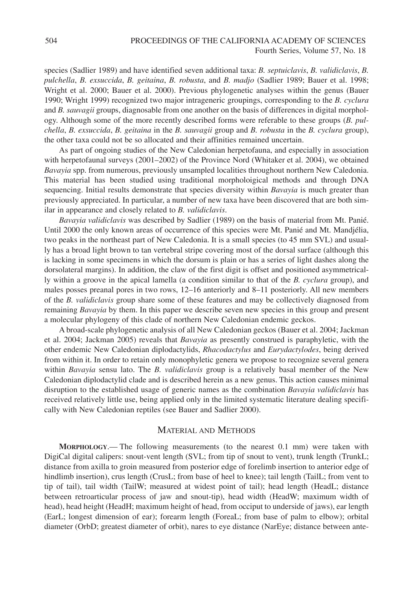species (Sadlier 1989) and have identified seven additional taxa: *B. septuiclavis*, *B. validiclavis*, *B. pulchella*, *B. exsuccida*, *B. geitaina*, *B. robusta*, and *B. madjo* (Sadlier 1989; Bauer et al. 1998; Wright et al. 2000; Bauer et al. 2000). Previous phylogenetic analyses within the genus (Bauer 1990; Wright 1999) recognized two major intrageneric groupings, corresponding to the *B. cyclura* and *B. sauvagii* groups, diagnosable from one another on the basis of differences in digital morphology. Although some of the more recently described forms were referable to these groups (*B. pulchella*, *B. exsuccida*, *B. geitaina* in the *B. sauvagii* group and *B. robusta* in the *B. cyclura* group), the other taxa could not be so allocated and their affinities remained uncertain.

As part of ongoing studies of the New Caledonian herpetofauna, and especially in association with herpetofaunal surveys (2001–2002) of the Province Nord (Whitaker et al. 2004), we obtained *Bavayia* spp. from numerous, previously unsampled localities throughout northern New Caledonia. This material has been studied using traditional morpholoigical methods and through DNA sequencing. Initial results demonstrate that species diversity within *Bavayia* is much greater than previously appreciated. In particular, a number of new taxa have been discovered that are both similar in appearance and closely related to *B. validiclavis*.

*Bavayia validiclavis* was described by Sadlier (1989) on the basis of material from Mt. Panié. Until 2000 the only known areas of occurrence of this species were Mt. Panié and Mt. Mandjélia, two peaks in the northeast part of New Caledonia. It is a small species (to 45 mm SVL) and usually has a broad light brown to tan vertebral stripe covering most of the dorsal surface (although this is lacking in some specimens in which the dorsum is plain or has a series of light dashes along the dorsolateral margins). In addition, the claw of the first digit is offset and positioned asymmetrically within a groove in the apical lamella (a condition similar to that of the *B. cyclura* group), and males posses preanal pores in two rows, 12–16 anteriorly and 8–11 posteriorly. All new members of the *B. validiclavis* group share some of these features and may be collectively diagnosed from remaining *Bavayia* by them. In this paper we describe seven new species in this group and present a molecular phylogeny of this clade of northern New Caledonian endemic geckos.

A broad-scale phylogenetic analysis of all New Caledonian geckos (Bauer et al. 2004; Jackman et al. 2004; Jackman 2005) reveals that *Bavayia* as presently construed is paraphyletic, with the other endemic New Caledonian diplodactylids, *Rhacodactylus* and *Eurydactylodes*, being derived from within it. In order to retain only monophyletic genera we propose to recognize several genera within *Bavayia* sensu lato. The *B. validiclavis* group is a relatively basal member of the New Caledonian diplodactylid clade and is described herein as a new genus. This action causes minimal disruption to the established usage of generic names as the combination *Bavayia validiclavis* has received relatively little use, being applied only in the limited systematic literature dealing specifically with New Caledonian reptiles (see Bauer and Sadlier 2000).

# MATERIAL AND METHODS

**MORPHOLOGY**.— The following measurements (to the nearest 0.1 mm) were taken with DigiCal digital calipers: snout-vent length (SVL; from tip of snout to vent), trunk length (TrunkL; distance from axilla to groin measured from posterior edge of forelimb insertion to anterior edge of hindlimb insertion), crus length (CrusL; from base of heel to knee); tail length (TailL; from vent to tip of tail), tail width (TailW; measured at widest point of tail); head length (HeadL; distance between retroarticular process of jaw and snout-tip), head width (HeadW; maximum width of head), head height (HeadH; maximum height of head, from occiput to underside of jaws), ear length (EarL; longest dimension of ear); forearm length (ForeaL; from base of palm to elbow); orbital diameter (OrbD; greatest diameter of orbit), nares to eye distance (NarEye; distance between ante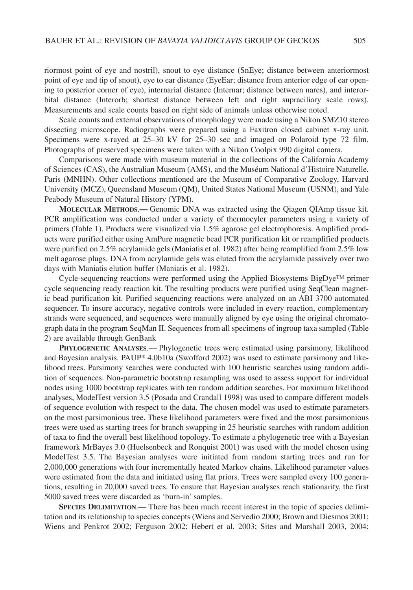riormost point of eye and nostril), snout to eye distance (SnEye; distance between anteriormost point of eye and tip of snout), eye to ear distance (EyeEar; distance from anterior edge of ear opening to posterior corner of eye), internarial distance (Internar; distance between nares), and interorbital distance (Interorb; shortest distance between left and right supraciliary scale rows). Measurements and scale counts based on right side of animals unless otherwise noted.

Scale counts and external observations of morphology were made using a Nikon SMZ10 stereo dissecting microscope. Radiographs were prepared using a Faxitron closed cabinet x-ray unit. Specimens were x-rayed at 25–30 kV for 25–30 sec and imaged on Polaroid type 72 film. Photographs of preserved specimens were taken with a Nikon Coolpix 990 digital camera.

Comparisons were made with museum material in the collections of the California Academy of Sciences (CAS), the Australian Museum (AMS), and the Muséum National d'Histoire Naturelle, Paris (MNHN). Other collections mentioned are the Museum of Comparative Zoology, Harvard University (MCZ), Queensland Museum (QM), United States National Museum (USNM), and Yale Peabody Museum of Natural History (YPM).

**MOLECULAR METHODS**.**—** Genomic DNA was extracted using the Qiagen QIAmp tissue kit. PCR amplification was conducted under a variety of thermocyler parameters using a variety of primers (Table 1). Products were visualized via 1.5% agarose gel electrophoresis. Amplified products were purified either using AmPure magnetic bead PCR purification kit or reamplified products were purified on 2.5% acrylamide gels (Maniatis et al. 1982) after being reamplified from 2.5% low melt agarose plugs. DNA from acrylamide gels was eluted from the acrylamide passively over two days with Maniatis elution buffer (Maniatis et al. 1982).

Cycle-sequencing reactions were performed using the Applied Biosystems BigDye™ primer cycle sequencing ready reaction kit. The resulting products were purified using SeqClean magnetic bead purification kit. Purified sequencing reactions were analyzed on an ABI 3700 automated sequencer. To insure accuracy, negative controls were included in every reaction, complementary strands were sequenced, and sequences were manually aligned by eye using the original chromatograph data in the program SeqMan II. Sequences from all specimens of ingroup taxa sampled (Table 2) are available through GenBank

**PHYLOGENETIC ANALYSES**.— Phylogenetic trees were estimated using parsimony, likelihood and Bayesian analysis. PAUP\* 4.0b10a (Swofford 2002) was used to estimate parsimony and likelihood trees. Parsimony searches were conducted with 100 heuristic searches using random addition of sequences. Non-parametric bootstrap resampling was used to assess support for individual nodes using 1000 bootstrap replicates with ten random addition searches. For maximum likelihood analyses, ModelTest version 3.5 (Posada and Crandall 1998) was used to compare different models of sequence evolution with respect to the data. The chosen model was used to estimate parameters on the most parsimonious tree. These likelihood parameters were fixed and the most parsimonious trees were used as starting trees for branch swapping in 25 heuristic searches with random addition of taxa to find the overall best likelihood topology. To estimate a phylogenetic tree with a Bayesian framework MrBayes 3.0 (Huelsenbeck and Ronquist 2001) was used with the model chosen using ModelTest 3.5. The Bayesian analyses were initiated from random starting trees and run for 2,000,000 generations with four incrementally heated Markov chains. Likelihood parameter values were estimated from the data and initiated using flat priors. Trees were sampled every 100 generations, resulting in 20,000 saved trees. To ensure that Bayesian analyses reach stationarity, the first 5000 saved trees were discarded as 'burn-in' samples.

**SPECIES DELIMITATION**.— There has been much recent interest in the topic of species delimitation and its relationship to species concepts (Wiens and Servedio 2000; Brown and Diesmos 2001; Wiens and Penkrot 2002; Ferguson 2002; Hebert et al. 2003; Sites and Marshall 2003, 2004;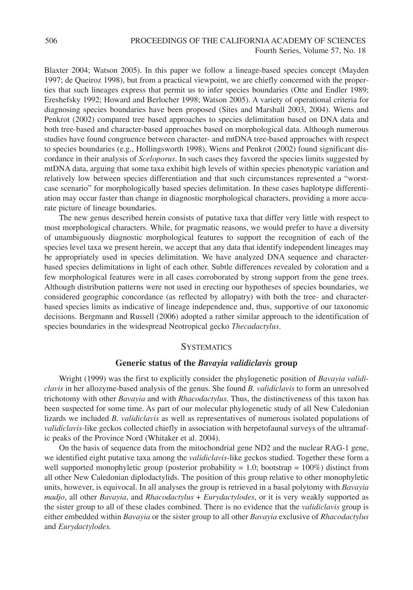Blaxter 2004; Watson 2005). In this paper we follow a lineage-based species concept (Mayden 1997; de Queiroz 1998), but from a practical viewpoint, we are chiefly concerned with the properties that such lineages express that permit us to infer species boundaries (Otte and Endler 1989; Ereshefsky 1992; Howard and Berlocher 1998; Watson 2005). A variety of operational criteria for diagnosing species boundaries have been proposed (Sites and Marshall 2003, 2004). Wiens and Penkrot (2002) compared tree based approaches to species delimitation based on DNA data and both tree-based and character-based approaches based on morphological data. Although numerous studies have found congruence between character- and mtDNA tree-based approaches with respect to species boundaries (e.g., Hollingsworth 1998), Wiens and Penkrot (2002) found significant discordance in their analysis of *Sceloporus*. In such cases they favored the species limits suggested by mtDNA data, arguing that some taxa exhibit high levels of within species phenotypic variation and relatively low between species differentiation and that such circumstances represented a "worstcase scenario" for morphologically based species delimitation. In these cases haplotype differentiation may occur faster than change in diagnostic morphological characters, providing a more accurate picture of lineage boundaries.

The new genus described herein consists of putative taxa that differ very little with respect to most morphological characters. While, for pragmatic reasons, we would prefer to have a diversity of unambiguously diagnostic morphological features to support the recognition of each of the species level taxa we present herein, we accept that any data that identify independent lineages may be appropriately used in species delimitation. We have analyzed DNA sequence and characterbased species delimitations in light of each other. Subtle differences revealed by coloration and a few morphological features were in all cases corroborated by strong support from the gene trees. Although distribution patterns were not used in erecting our hypotheses of species boundaries, we considered geographic concordance (as reflected by allopatry) with both the tree- and characterbased species limits as indicative of lineage independence and, thus, supportive of our taxonomic decisions. Bergmann and Russell (2006) adopted a rather similar approach to the identification of species boundaries in the widespread Neotropical gecko *Thecadactylus*.

#### **SYSTEMATICS**

#### **Generic status of the** *Bavayia validiclavis* **group**

Wright (1999) was the first to explicitly consider the phylogenetic position of *Bavayia validiclavis* in her allozyme-based analysis of the genus. She found *B. validiclavis* to form an unresolved trichotomy with other *Bavayia* and with *Rhacodactylus*. Thus, the distinctiveness of this taxon has been suspected for some time. As part of our molecular phylogenetic study of all New Caledonian lizards we included *B. validiclavis* as well as representatives of numerous isolated populations of *validiclavis*-like geckos collected chiefly in association with herpetofaunal surveys of the ultramafic peaks of the Province Nord (Whitaker et al. 2004).

On the basis of sequence data from the mitochondrial gene ND2 and the nuclear RAG-1 gene, we identified eight putative taxa among the *validiclavis*-like geckos studied. Together these form a well supported monophyletic group (posterior probability  $= 1.0$ ; bootstrap  $= 100\%$ ) distinct from all other New Caledonian diplodactylids. The position of this group relative to other monophyletic units, however, is equivocal. In all analyses the group is retrieved in a basal polytomy with *Bavayia madjo*, all other *Bavayia*, and *Rhacodactylus* + *Eurydactylodes*, or it is very weakly supported as the sister group to all of these clades combined. There is no evidence that the *validiclavis* group is either embedded within *Bavayia* or the sister group to all other *Bavayia* exclusive of *Rhacodactylus* and *Eurydactylodes.*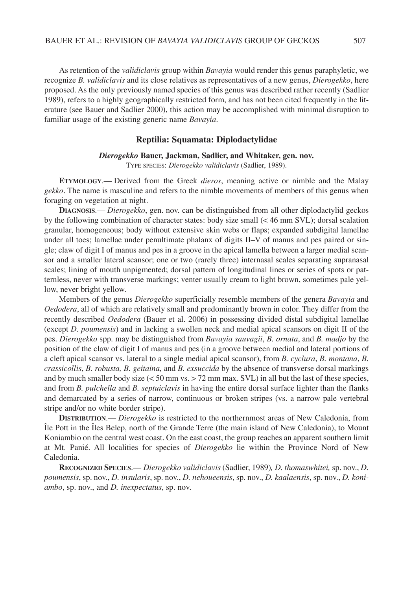As retention of the *validiclavis* group within *Bavayia* would render this genus paraphyletic, we recognize *B. validiclavis* and its close relatives as representatives of a new genus, *Dierogekko*, here proposed. As the only previously named species of this genus was described rather recently (Sadlier 1989), refers to a highly geographically restricted form, and has not been cited frequently in the literature (see Bauer and Sadlier 2000), this action may be accomplished with minimal disruption to familiar usage of the existing generic name *Bavayia*.

#### **Reptilia: Squamata: Diplodactylidae**

#### *Dierogekko* **Bauer, Jackman, Sadlier, and Whitaker, gen. nov.**

TYPE SPECIES: *Dierogekko validiclavis* (Sadlier, 1989).

**ETYMOLOGY**.— Derived from the Greek *dieros*, meaning active or nimble and the Malay *gekko*. The name is masculine and refers to the nimble movements of members of this genus when foraging on vegetation at night.

**DIAGNOSIS**.— *Dierogekko*, gen. nov. can be distinguished from all other diplodactylid geckos by the following combination of character states: body size small (< 46 mm SVL); dorsal scalation granular, homogeneous; body without extensive skin webs or flaps; expanded subdigital lamellae under all toes; lamellae under penultimate phalanx of digits II–V of manus and pes paired or single; claw of digit I of manus and pes in a groove in the apical lamella between a larger medial scansor and a smaller lateral scansor; one or two (rarely three) internasal scales separating supranasal scales; lining of mouth unpigmented; dorsal pattern of longitudinal lines or series of spots or patternless, never with transverse markings; venter usually cream to light brown, sometimes pale yellow, never bright yellow.

Members of the genus *Dierogekko* superficially resemble members of the genera *Bavayia* and *Oedodera*, all of which are relatively small and predominantly brown in color. They differ from the recently described *Oedodera* (Bauer et al. 2006) in possessing divided distal subdigital lamellae (except *D. poumensis*) and in lacking a swollen neck and medial apical scansors on digit II of the pes. *Dierogekko* spp. may be distinguished from *Bavayia sauvagii*, *B. ornata*, and *B. madjo* by the position of the claw of digit I of manus and pes (in a groove between medial and lateral portions of a cleft apical scansor vs. lateral to a single medial apical scansor), from *B. cyclura*, *B. montana*, *B. crassicollis*, *B. robusta, B. geitaina,* and *B. exsuccida* by the absence of transverse dorsal markings and by much smaller body size  $(< 50$  mm vs.  $> 72$  mm max. SVL) in all but the last of these species, and from *B. pulchella* and *B. septuiclavis* in having the entire dorsal surface lighter than the flanks and demarcated by a series of narrow, continuous or broken stripes (vs. a narrow pale vertebral stripe and/or no white border stripe).

**DISTRIBUTION**.— *Dierogekko* is restricted to the northernmost areas of New Caledonia, from Île Pott in the Îles Belep, north of the Grande Terre (the main island of New Caledonia), to Mount Koniambio on the central west coast. On the east coast, the group reaches an apparent southern limit at Mt. Panié. All localities for species of *Dierogekko* lie within the Province Nord of New Caledonia.

**RECOGNIZED SPECIES**.— *Dierogekko validiclavis* (Sadlier, 1989)*, D. thomaswhitei,* sp. nov., *D. poumensis*, sp. nov., *D. insularis*, sp. nov., *D. nehoueensis*, sp. nov., *D. kaalaensis*, sp. nov., *D. koniambo*, sp. nov., and *D. inexpectatus*, sp. nov.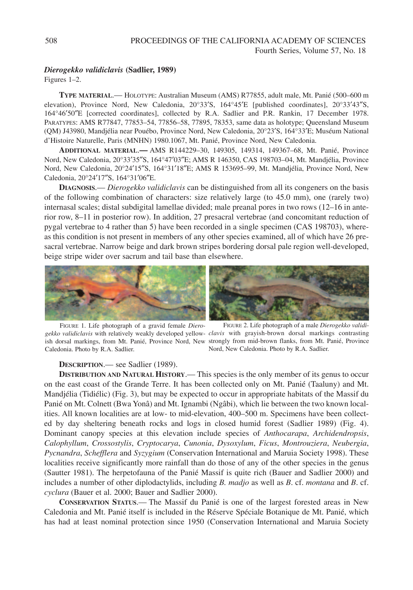#### *Dierogekko validiclavis* **(Sadlier, 1989)**

Figures 1–2.

**TYPE MATERIAL**.— HOLOTYPE: Australian Museum (AMS) R77855, adult male, Mt. Panié (500–600 m elevation), Province Nord, New Caledonia, 20°33′S, 164°45′E [published coordinates], 20°33′43″S, 164°46′50″E [corrected coordinates], collected by R.A. Sadlier and P.R. Rankin, 17 December 1978. PARATYPES: AMS R77847, 77853–54, 77856–58, 77895, 78353, same data as holotype; Queensland Museum (QM) J43980, Mandjélia near Pouébo, Province Nord, New Caledonia, 20°23′S, 164°33′E; Muséum National d'Histoire Naturelle, Paris (MNHN) 1980.1067, Mt. Panié, Province Nord, New Caledonia.

**ADDITIONAL MATERIAL**.**—** AMS R144229–30, 149305, 149314, 149367–68, Mt. Panié, Province Nord, New Caledonia, 20°33′35″S, 164°47′03″E; AMS R 146350, CAS 198703–04, Mt. Mandjélia, Province Nord, New Caledonia, 20°24′15″S, 164°31′18″E; AMS R 153695–99, Mt. Mandjélia, Province Nord, New Caledonia, 20°24′17″S, 164°31′06″E.

**DIAGNOSIS**.— *Dierogekko validiclavis* can be distinguished from all its congeners on the basis of the following combination of characters: size relatively large (to 45.0 mm), one (rarely two) internasal scales; distal subdigital lamellae divided; male preanal pores in two rows (12–16 in anterior row, 8–11 in posterior row). In addition, 27 presacral vertebrae (and concomitant reduction of pygal vertebrae to 4 rather than 5) have been recorded in a single specimen (CAS 198703), whereas this condition is not present in members of any other species examined, all of which have 26 presacral vertebrae. Narrow beige and dark brown stripes bordering dorsal pale region well-developed, beige stripe wider over sacrum and tail base than elsewhere.



FIGURE 1. Life photograph of a gravid female *Dierogekko validiclavis* with relatively weakly developed yellow-*clavis* with grayish-brown dorsal markings contrasting ish dorsal markings, from Mt. Panié, Province Nord, New strongly from mid-brown flanks, from Mt. Panié, Province Caledonia. Photo by R.A. Sadlier.



FIGURE 2. Life photograph of a male *Dierogekko validi-*Nord, New Caledonia. Photo by R.A. Sadlier.

#### **DESCRIPTION**.— see Sadlier (1989).

**DISTRIBUTION AND NATURAL HISTORY**.— This species is the only member of its genus to occur on the east coast of the Grande Terre. It has been collected only on Mt. Panié (Taaluny) and Mt. Mandjélia (Tidiélic) (Fig. 3), but may be expected to occur in appropriate habitats of the Massif du Panié on Mt. Colnett (Bwa Yonâ) and Mt. Ignambi (Ngâbi), which lie between the two known localities. All known localities are at low- to mid-elevation, 400–500 m. Specimens have been collected by day sheltering beneath rocks and logs in closed humid forest (Sadlier 1989) (Fig. 4). Dominant canopy species at this elevation include species of *Anthocarapa*, *Archidendropsis*, *Calophyllum*, *Crossostylis*, *Cryptocarya*, *Cunonia*, *Dysoxylum*, *Ficus*, *Montrouziera*, *Neubergia*, *Pycnandra*, *Schefflera* and *Syzygium* (Conservation International and Maruia Society 1998). These localities receive significantly more rainfall than do those of any of the other species in the genus (Sautter 1981). The herpetofauna of the Panié Massif is quite rich (Bauer and Sadlier 2000) and includes a number of other diplodactylids, including *B. madjo* as well as *B*. cf. *montana* and *B*. cf. *cyclura* (Bauer et al. 2000; Bauer and Sadlier 2000).

**CONSERVATION STATUS**.— The Massif du Panié is one of the largest forested areas in New Caledonia and Mt. Panié itself is included in the Réserve Spéciale Botanique de Mt. Panié, which has had at least nominal protection since 1950 (Conservation International and Maruia Society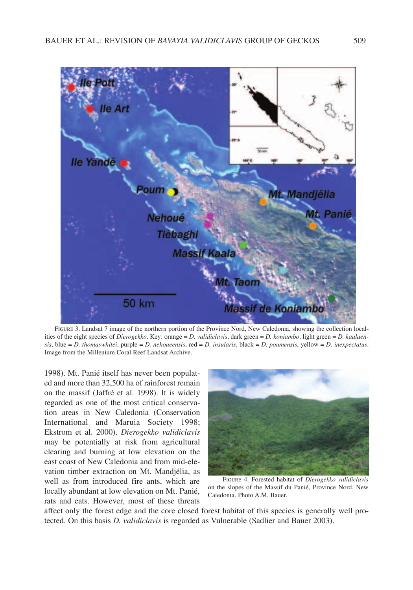

FIGURE 3. Landsat 7 image of the northern portion of the Province Nord, New Caledonia, showing the collection localities of the eight species of *Dierogekko*. Key: orange = *D. validiclavis*, dark green = *D. koniambo*, light green = *D. kaalaensis*, blue = *D. thomaswhitei*, purple = *D. nehoueensis*, red = *D. insularis*, black = *D. poumensis*, yellow = *D. inexpectatus*. Image from the Millenium Coral Reef Landsat Archive.

1998). Mt. Panié itself has never been populated and more than 32,500 ha of rainforest remain on the massif (Jaffré et al. 1998). It is widely regarded as one of the most critical conservation areas in New Caledonia (Conservation International and Maruia Society 1998; Ekstrom et al. 2000). *Dierogekko validiclavis* may be potentially at risk from agricultural clearing and burning at low elevation on the east coast of New Caledonia and from mid-elevation timber extraction on Mt. Mandjélia, as well as from introduced fire ants, which are locally abundant at low elevation on Mt. Panié, rats and cats. However, most of these threats



FIGURE 4. Forested habitat of *Dierogekko validiclavis* on the slopes of the Massif du Panié, Province Nord, New Caledonia. Photo A.M. Bauer.

affect only the forest edge and the core closed forest habitat of this species is generally well protected. On this basis *D. validiclavis* is regarded as Vulnerable (Sadlier and Bauer 2003).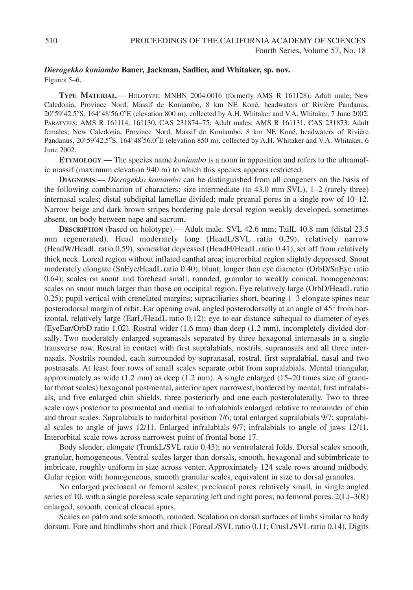#### *Dierogekko koniambo* **Bauer, Jackman, Sadlier, and Whitaker, sp. nov.** Figures 5–6.

**TYPE MATERIAL**.— HOLOTYPE: MNHN 2004.0016 (formerly AMS R 161128): Adult male; New Caledonia, Province Nord, Massif de Koniambo, 8 km NE Koné, headwaters of Rivière Pandanus, 20°59′42.5″S, 164°48′56.0″E (elevation 800 m), collected by A.H. Whitaker and V.A. Whitaker, 7 June 2002. PARATYPES: AMS R 161114, 161130, CAS 231874–75: Adult males; AMS R 161131, CAS 231873: Adult females; New Caledonia, Province Nord, Massif de Koniambo, 8 km NE Koné, headwaters of Rivière Pandanus, 20°59′42.5″S, 164°48′56.0″E (elevation 850 m), collected by A.H. Whitaker and V.A. Whitaker, 6 June 2002.

**ETYMOLOGY**.**—** The species name *koniambo* is a noun in apposition and refers to the ultramafic massif (maximum elevation 940 m) to which this species appears restricted.

**DIAGNOSIS**.**—** *Dierogekko koniambo* can be distinguished from all congeners on the basis of the following combination of characters: size intermediate (to 43.0 mm SVL), 1–2 (rarely three) internasal scales; distal subdigital lamellae divided; male preanal pores in a single row of 10–12. Narrow beige and dark brown stripes bordering pale dorsal region weakly developed, sometimes absent, on body between nape and sacrum.

**DESCRIPTION** (based on holotype).— Adult male. SVL 42.6 mm; TailL 40.8 mm (distal 23.5 mm regenerated). Head moderately long (HeadL/SVL ratio 0.29), relatively narrow (HeadW/HeadL ratio 0.59), somewhat depressed (HeadH/HeadL ratio 0.41), set off from relatively thick neck. Loreal region without inflated canthal area; interorbital region slightly depressed. Snout moderately elongate (SnEye/HeadL ratio 0.40), blunt; longer than eye diameter (OrbD/SnEye ratio 0.64); scales on snout and forehead small, rounded, granular to weakly conical, homogeneous; scales on snout much larger than those on occipital region. Eye relatively large (OrbD/HeadL ratio 0.25); pupil vertical with crenelated margins; supraciliaries short, bearing 1–3 elongate spines near posterodorsal margin of orbit. Ear opening oval, angled posterodorsally at an angle of 45° from horizontal, relatively large (EarL/HeadL ratio 0.12); eye to ear distance subequal to diameter of eyes (EyeEar/OrbD ratio 1.02). Rostral wider (1.6 mm) than deep (1.2 mm), incompletely divided dorsally. Two moderately enlarged supranasals separated by three hexagonal internasals in a single transverse row. Rostral in contact with first supralabials, nostrils, supranasals and all three internasals. Nostrils rounded, each surrounded by supranasal, rostral, first supralabial, nasal and two postnasals. At least four rows of small scales separate orbit from supralabials. Mental triangular, approximately as wide (1.2 mm) as deep (1.2 mm). A single enlarged (15–20 times size of granular throat scales) hexagonal postmental, anterior apex narrowest, bordered by mental, first infralabials, and five enlarged chin shields, three posteriorly and one each posterolaterally. Two to three scale rows posterior to postmental and medial to infralabials enlarged relative to remainder of chin and throat scales. Supralabials to midorbital position 7/6; total enlarged supralabials 9/7; supralabial scales to angle of jaws 12/11. Enlarged infralabials 9/7; infralabials to angle of jaws 12/11. Interorbital scale rows across narrowest point of frontal bone 17.

Body slender, elongate (TrunkL/SVL ratio 0.43); no ventrolateral folds. Dorsal scales smooth, granular, homogeneous. Ventral scales larger than dorsals, smooth, hexagonal and subimbricate to imbricate, roughly uniform in size across venter. Approximately 124 scale rows around midbody. Gular region with homogeneous, smooth granular scales, equivalent in size to dorsal granules.

No enlarged precloacal or femoral scales; precloacal pores relatively small, in single angled series of 10, with a single poreless scale separating left and right pores; no femoral pores.  $2(L)-3(R)$ enlarged, smooth, conical cloacal spurs.

Scales on palm and sole smooth, rounded. Scalation on dorsal surfaces of limbs similar to body dorsum. Fore and hindlimbs short and thick (ForeaL/SVL ratio 0.11; CrusL/SVL ratio 0.14). Digits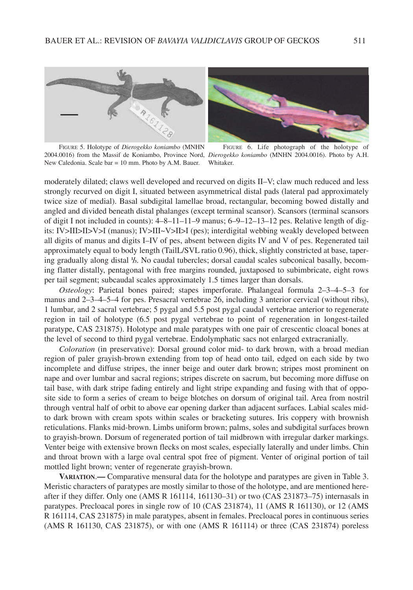



FIGURE 5. Holotype of *Dierogekko koniambo* (MNHN 2004.0016) from the Massif de Koniambo, Province Nord, *Dierogekko koniambo* (MNHN 2004.0016). Photo by A.H. New Caledonia. Scale bar = 10 mm. Photo by A.M. Bauer. Whitaker.

FIGURE 6. Life photograph of the holotype of

moderately dilated; claws well developed and recurved on digits II–V; claw much reduced and less strongly recurved on digit I, situated between asymmetrical distal pads (lateral pad approximately twice size of medial). Basal subdigital lamellae broad, rectangular, becoming bowed distally and angled and divided beneath distal phalanges (except terminal scansor). Scansors (terminal scansors of digit I not included in counts): 4–8–11–11–9 manus; 6–9–12–13–12 pes. Relative length of digits: IV>III>II>V>I (manus); IV>III~V>II>I (pes); interdigital webbing weakly developed between all digits of manus and digits I–IV of pes, absent between digits IV and V of pes. Regenerated tail approximately equal to body length (TailL/SVL ratio 0.96), thick, slightly constricted at base, tapering gradually along distal **<sup>1</sup> /3**. No caudal tubercles; dorsal caudal scales subconical basally, becoming flatter distally, pentagonal with free margins rounded, juxtaposed to subimbricate, eight rows per tail segment; subcaudal scales approximately 1.5 times larger than dorsals.

*Osteology*: Parietal bones paired; stapes imperforate. Phalangeal formula 2–3–4–5–3 for manus and 2–3–4–5–4 for pes. Presacral vertebrae 26, including 3 anterior cervical (without ribs), 1 lumbar, and 2 sacral vertebrae; 5 pygal and 5.5 post pygal caudal vertebrae anterior to regenerate region in tail of holotype (6.5 post pygal vertebrae to point of regeneration in longest-tailed paratype, CAS 231875). Holotype and male paratypes with one pair of crescentic cloacal bones at the level of second to third pygal vertebrae. Endolymphatic sacs not enlarged extracranially.

*Coloration* (in preservative): Dorsal ground color mid- to dark brown, with a broad median region of paler grayish-brown extending from top of head onto tail, edged on each side by two incomplete and diffuse stripes, the inner beige and outer dark brown; stripes most prominent on nape and over lumbar and sacral regions; stripes discrete on sacrum, but becoming more diffuse on tail base, with dark stripe fading entirely and light stripe expanding and fusing with that of opposite side to form a series of cream to beige blotches on dorsum of original tail. Area from nostril through ventral half of orbit to above ear opening darker than adjacent surfaces. Labial scales midto dark brown with cream spots within scales or bracketing sutures. Iris coppery with brownish reticulations. Flanks mid-brown. Limbs uniform brown; palms, soles and subdigital surfaces brown to grayish-brown. Dorsum of regenerated portion of tail midbrown with irregular darker markings. Venter beige with extensive brown flecks on most scales, especially laterally and under limbs. Chin and throat brown with a large oval central spot free of pigment. Venter of original portion of tail mottled light brown; venter of regenerate grayish-brown.

**VARIATION**.**—** Comparative mensural data for the holotype and paratypes are given in Table 3. Meristic characters of paratypes are mostly similar to those of the holotype, and are mentioned hereafter if they differ. Only one (AMS R 161114, 161130–31) or two (CAS 231873–75) internasals in paratypes. Precloacal pores in single row of 10 (CAS 231874), 11 (AMS R 161130), or 12 (AMS R 161114, CAS 231875) in male paratypes, absent in females. Precloacal pores in continuous series (AMS R 161130, CAS 231875), or with one (AMS R 161114) or three (CAS 231874) poreless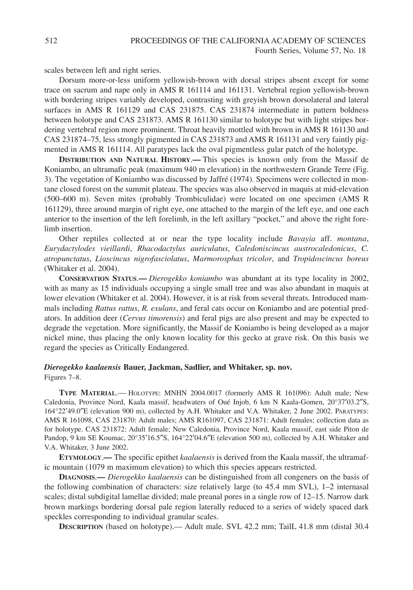scales between left and right series.

Dorsum more-or-less uniform yellowish-brown with dorsal stripes absent except for some trace on sacrum and nape only in AMS R 161114 and 161131. Vertebral region yellowish-brown with bordering stripes variably developed, contrasting with greyish brown dorsolateral and lateral surfaces in AMS R 161129 and CAS 231875. CAS 231874 intermediate in pattern boldness between holotype and CAS 231873. AMS R 161130 similar to holotype but with light stripes bordering vertebral region more prominent. Throat heavily mottled with brown in AMS R 161130 and CAS 231874–75, less strongly pigmented in CAS 231873 and AMS R 161131 and very faintly pigmented in AMS R 161114. All paratypes lack the oval pigmentless gular patch of the holotype.

**DISTRIBUTION AND NATURAL HISTORY**.**—** This species is known only from the Massif de Koniambo, an ultramafic peak (maximum 940 m elevation) in the northwestern Grande Terre (Fig. 3). The vegetation of Koniambo was discussed by Jaffré (1974). Specimens were collected in montane closed forest on the summit plateau. The species was also observed in maquis at mid-elevation (500–600 m). Seven mites (probably Trombiculidae) were located on one specimen (AMS R 161129), three around margin of right eye, one attached to the margin of the left eye, and one each anterior to the insertion of the left forelimb, in the left axillary "pocket," and above the right forelimb insertion.

Other reptiles collected at or near the type locality include *Bavayia* aff. *montana*, *Eurydactylodes vieillardi*, *Rhacodactylus auriculatus*, *Caledoniscincus austrocaledonicus*, *C. atropunctatus*, *Lioscincus nigrofasciolatus*, *Marmorosphax tricolor*, and *Tropidoscincus boreus* (Whitaker et al. 2004).

**CONSERVATION STATUS**.**—** *Dierogekko koniambo* was abundant at its type locality in 2002, with as many as 15 individuals occupying a single small tree and was also abundant in maquis at lower elevation (Whitaker et al. 2004). However, it is at risk from several threats. Introduced mammals including *Rattus rattus*, *R. exulans*, and feral cats occur on Koniambo and are potential predators. In addition deer (*Cervus timorensis*) and feral pigs are also present and may be expected to degrade the vegetation. More significantly, the Massif de Koniambo is being developed as a major nickel mine, thus placing the only known locality for this gecko at grave risk. On this basis we regard the species as Critically Endangered.

# *Dierogekko kaalaensis* **Bauer, Jackman, Sadlier, and Whitaker, sp. nov.**

Figures 7–8.

**TYPE MATERIAL**.— HOLOTYPE: MNHN 2004.0017 (formerly AMS R 161096): Adult male; New Caledonia, Province Nord, Kaala massif, headwaters of Oué Injob, 6 km N Kaala-Gomen, 20°37′03.2″S, 164°22′49.0″E (elevation 900 m), collected by A.H. Whitaker and V.A. Whitaker, 2 June 2002. PARATYPES: AMS R 161098, CAS 231870: Adult males; AMS R161097, CAS 231871: Adult females; collection data as for holotype. CAS 231872: Adult female; New Caledonia, Province Nord, Kaala massif, east side Piton de Pandop, 9 km SE Koumac, 20°35′16.5″S, 164°22′04.6″E (elevation 500 m), collected by A.H. Whitaker and V.A. Whitaker, 3 June 2002.

**ETYMOLOGY**.**—** The specific epithet *kaalaensis* is derived from the Kaala massif, the ultramafic mountain (1079 m maximum elevation) to which this species appears restricted.

**DIAGNOSIS**.**—** *Dierogekko kaalaensis* can be distinguished from all congeners on the basis of the following combination of characters: size relatively large (to 45.4 mm SVL), 1–2 internasal scales; distal subdigital lamellae divided; male preanal pores in a single row of 12–15. Narrow dark brown markings bordering dorsal pale region laterally reduced to a series of widely spaced dark speckles corresponding to individual granular scales.

**DESCRIPTION** (based on holotype).— Adult male. SVL 42.2 mm; TailL 41.8 mm (distal 30.4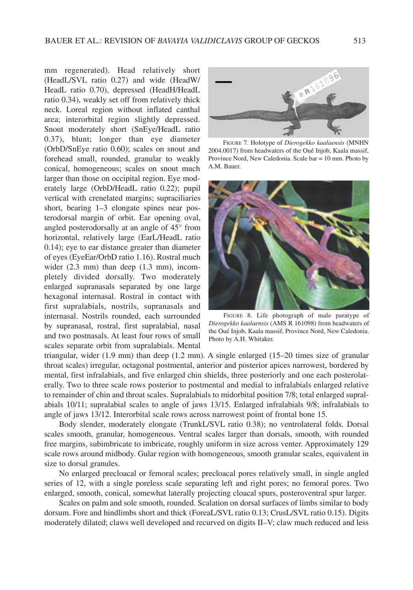mm regenerated). Head relatively short (HeadL/SVL ratio 0.27) and wide (HeadW/ HeadL ratio 0.70), depressed (HeadH/HeadL ratio 0.34), weakly set off from relatively thick neck. Loreal region without inflated canthal area; interorbital region slightly depressed. Snout moderately short (SnEye/HeadL ratio 0.37), blunt; longer than eye diameter (OrbD/SnEye ratio 0.60); scales on snout and forehead small, rounded, granular to weakly conical, homogeneous; scales on snout much larger than those on occipital region. Eye moderately large (OrbD/HeadL ratio 0.22); pupil vertical with crenelated margins; supraciliaries short, bearing 1–3 elongate spines near posterodorsal margin of orbit. Ear opening oval, angled posterodorsally at an angle of 45° from horizontal, relatively large (EarL/HeadL ratio 0.14); eye to ear distance greater than diameter of eyes (EyeEar/OrbD ratio 1.16). Rostral much wider (2.3 mm) than deep (1.3 mm), incompletely divided dorsally. Two moderately enlarged supranasals separated by one large hexagonal internasal. Rostral in contact with first supralabials, nostrils, supranasals and internasal. Nostrils rounded, each surrounded by supranasal, rostral, first supralabial, nasal and two postnasals. At least four rows of small scales separate orbit from supralabials. Mental



FIGURE 7. Holotype of *Dierogekko kaalaensis* (MNHN 2004.0017) from headwaters of the Oué Injob, Kaala massif, Province Nord, New Caledonia. Scale bar = 10 mm. Photo by A.M. Bauer.



FIGURE 8. Life photograph of male paratype of *Dierogekko kaalaensis* (AMS R 161098) from headwaters of the Oué Injob, Kaala massif, Province Nord, New Caledonia. Photo by A.H. Whitaker.

triangular, wider (1.9 mm) than deep (1.2 mm). A single enlarged (15–20 times size of granular throat scales) irregular, octagonal postmental, anterior and posterior apices narrowest, bordered by mental, first infralabials, and five enlarged chin shields, three posteriorly and one each posterolaterally. Two to three scale rows posterior to postmental and medial to infralabials enlarged relative to remainder of chin and throat scales. Supralabials to midorbital position 7/8; total enlarged supralabials 10/11; supralabial scales to angle of jaws 13/15. Enlarged infralabials 9/8; infralabials to angle of jaws 13/12. Interorbital scale rows across narrowest point of frontal bone 15.

Body slender, moderately elongate (TrunkL/SVL ratio 0.38); no ventrolateral folds. Dorsal scales smooth, granular, homogeneous. Ventral scales larger than dorsals, smooth, with rounded free margins, subimbricate to imbricate, roughly uniform in size across venter. Approximately 129 scale rows around midbody. Gular region with homogeneous, smooth granular scales, equivalent in size to dorsal granules.

No enlarged precloacal or femoral scales; precloacal pores relatively small, in single angled series of 12, with a single poreless scale separating left and right pores; no femoral pores. Two enlarged, smooth, conical, somewhat laterally projecting cloacal spurs, posteroventral spur larger.

Scales on palm and sole smooth, rounded. Scalation on dorsal surfaces of limbs similar to body dorsum. Fore and hindlimbs short and thick (ForeaL/SVL ratio 0.13; CrusL/SVL ratio 0.15). Digits moderately dilated; claws well developed and recurved on digits II–V; claw much reduced and less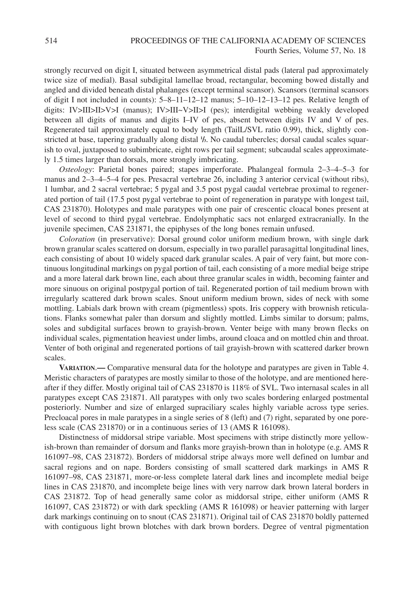strongly recurved on digit I, situated between asymmetrical distal pads (lateral pad approximately twice size of medial). Basal subdigital lamellae broad, rectangular, becoming bowed distally and angled and divided beneath distal phalanges (except terminal scansor). Scansors (terminal scansors of digit I not included in counts): 5–8–11–12–12 manus; 5–10–12–13–12 pes. Relative length of digits: IV>III>II>V>I (manus); IV>III~V>II>I (pes); interdigital webbing weakly developed between all digits of manus and digits I–IV of pes, absent between digits IV and V of pes. Regenerated tail approximately equal to body length (TailL/SVL ratio 0.99), thick, slightly constricted at base, tapering gradually along distal  $\frac{1}{3}$ . No caudal tubercles; dorsal caudal scales squarish to oval, juxtaposed to subimbricate, eight rows per tail segment; subcaudal scales approximately 1.5 times larger than dorsals, more strongly imbricating.

*Osteology*: Parietal bones paired; stapes imperforate. Phalangeal formula 2–3–4–5–3 for manus and 2–3–4–5–4 for pes. Presacral vertebrae 26, including 3 anterior cervical (without ribs), 1 lumbar, and 2 sacral vertebrae; 5 pygal and 3.5 post pygal caudal vertebrae proximal to regenerated portion of tail (17.5 post pygal vertebrae to point of regeneration in paratype with longest tail, CAS 231870). Holotypes and male paratypes with one pair of crescentic cloacal bones present at level of second to third pygal vertebrae. Endolymphatic sacs not enlarged extracranially. In the juvenile specimen, CAS 231871, the epiphyses of the long bones remain unfused.

*Coloration* (in preservative): Dorsal ground color uniform medium brown, with single dark brown granular scales scattered on dorsum, especially in two parallel parasagittal longitudinal lines, each consisting of about 10 widely spaced dark granular scales. A pair of very faint, but more continuous longitudinal markings on pygal portion of tail, each consisting of a more medial beige stripe and a more lateral dark brown line, each about three granular scales in width, becoming fainter and more sinuous on original postpygal portion of tail. Regenerated portion of tail medium brown with irregularly scattered dark brown scales. Snout uniform medium brown, sides of neck with some mottling. Labials dark brown with cream (pigmentless) spots. Iris coppery with brownish reticulations. Flanks somewhat paler than dorsum and slightly mottled. Limbs similar to dorsum; palms, soles and subdigital surfaces brown to grayish-brown. Venter beige with many brown flecks on individual scales, pigmentation heaviest under limbs, around cloaca and on mottled chin and throat. Venter of both original and regenerated portions of tail grayish-brown with scattered darker brown scales.

**VARIATION**.**—** Comparative mensural data for the holotype and paratypes are given in Table 4. Meristic characters of paratypes are mostly similar to those of the holotype, and are mentioned hereafter if they differ. Mostly original tail of CAS 231870 is 118% of SVL. Two internasal scales in all paratypes except CAS 231871. All paratypes with only two scales bordering enlarged postmental posteriorly. Number and size of enlarged supraciliary scales highly variable across type series. Precloacal pores in male paratypes in a single series of 8 (left) and (7) right, separated by one poreless scale (CAS 231870) or in a continuous series of 13 (AMS R 161098).

Distinctness of middorsal stripe variable. Most specimens with stripe distinctly more yellowish-brown than remainder of dorsum and flanks more grayish-brown than in holotype (e.g. AMS R 161097–98, CAS 231872). Borders of middorsal stripe always more well defined on lumbar and sacral regions and on nape. Borders consisting of small scattered dark markings in AMS R 161097–98, CAS 231871, more-or-less complete lateral dark lines and incomplete medial beige lines in CAS 231870, and incomplete beige lines with very narrow dark brown lateral borders in CAS 231872. Top of head generally same color as middorsal stripe, either uniform (AMS R 161097, CAS 231872) or with dark speckling (AMS R 161098) or heavier patterning with larger dark markings continuing on to snout (CAS 231871). Original tail of CAS 231870 boldly patterned with contiguous light brown blotches with dark brown borders. Degree of ventral pigmentation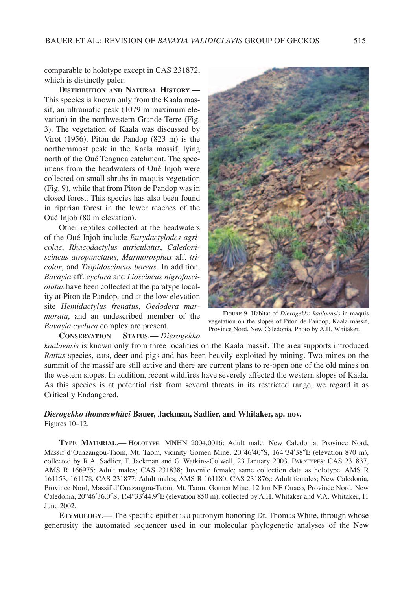comparable to holotype except in CAS 231872, which is distinctly paler.

**DISTRIBUTION AND NATURAL HISTORY**.**—** This species is known only from the Kaala massif, an ultramafic peak (1079 m maximum elevation) in the northwestern Grande Terre (Fig. 3). The vegetation of Kaala was discussed by Virot (1956). Piton de Pandop (823 m) is the northernmost peak in the Kaala massif, lying north of the Oué Tenguoa catchment. The specimens from the headwaters of Oué Injob were collected on small shrubs in maquis vegetation (Fig. 9), while that from Piton de Pandop was in closed forest. This species has also been found in riparian forest in the lower reaches of the Oué Injob (80 m elevation).

Other reptiles collected at the headwaters of the Oué Injob include *Eurydactylodes agricolae*, *Rhacodactylus auriculatus*, *Caledoniscincus atropunctatus*, *Marmorosphax* aff. *tricolor*, and *Tropidoscincus boreus*. In addition, *Bavayia* aff. *cyclura* and *Lioscincus nigrofasciolatus* have been collected at the paratype locality at Piton de Pandop, and at the low elevation site *Hemidactylus frenatus*, *Oedodera marmorata*, and an undescribed member of the *Bavayia cyclura* complex are present.

**CONSERVATION STATUS**.**—** *Dierogekko*



FIGURE 9. Habitat of *Dierogekko kaalaensis* in maquis vegetation on the slopes of Piton de Pandop, Kaala massif, Province Nord, New Caledonia. Photo by A.H. Whitaker.

*kaalaensis* is known only from three localities on the Kaala massif. The area supports introduced *Rattus* species, cats, deer and pigs and has been heavily exploited by mining. Two mines on the summit of the massif are still active and there are current plans to re-open one of the old mines on the western slopes. In addition, recent wildfires have severely affected the western slopes of Kaala. As this species is at potential risk from several threats in its restricted range, we regard it as Critically Endangered.

## *Dierogekko thomaswhitei* **Bauer, Jackman, Sadlier, and Whitaker, sp. nov.**

Figures 10–12.

**TYPE MATERIAL**.— HOLOTYPE: MNHN 2004.0016: Adult male; New Caledonia, Province Nord, Massif d'Ouazangou-Taom, Mt. Taom, vicinity Gomen Mine, 20°46′40″S, 164°34′38″E (elevation 870 m), collected by R.A. Sadlier, T. Jackman and G. Watkins-Colwell, 23 January 2003. PARATYPES: CAS 231837, AMS R 166975: Adult males; CAS 231838; Juvenile female; same collection data as holotype. AMS R 161153, 161178, CAS 231877: Adult males; AMS R 161180, CAS 231876,: Adult females; New Caledonia, Province Nord, Massif d'Ouazangou-Taom, Mt. Taom, Gomen Mine, 12 km NE Ouaco, Province Nord, New Caledonia, 20°46′36.0″S, 164°33′44.9″E (elevation 850 m), collected by A.H. Whitaker and V.A. Whitaker, 11 June 2002.

**ETYMOLOGY**.**—** The specific epithet is a patronym honoring Dr. Thomas White, through whose generosity the automated sequencer used in our molecular phylogenetic analyses of the New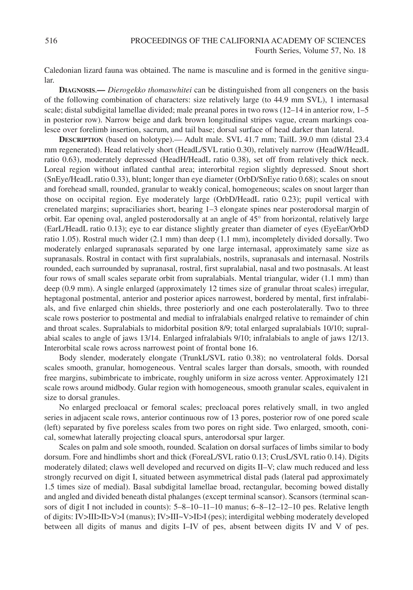Caledonian lizard fauna was obtained. The name is masculine and is formed in the genitive singular.

**DIAGNOSIS**.**—** *Dierogekko thomaswhitei* can be distinguished from all congeners on the basis of the following combination of characters: size relatively large (to 44.9 mm SVL), 1 internasal scale; distal subdigital lamellae divided; male preanal pores in two rows (12–14 in anterior row, 1–5 in posterior row). Narrow beige and dark brown longitudinal stripes vague, cream markings coalesce over forelimb insertion, sacrum, and tail base; dorsal surface of head darker than lateral.

**DESCRIPTION** (based on holotype).— Adult male. SVL 41.7 mm; TailL 39.0 mm (distal 23.4 mm regenerated). Head relatively short (HeadL/SVL ratio 0.30), relatively narrow (HeadW/HeadL ratio 0.63), moderately depressed (HeadH/HeadL ratio 0.38), set off from relatively thick neck. Loreal region without inflated canthal area; interorbital region slightly depressed. Snout short (SnEye/HeadL ratio 0.33), blunt; longer than eye diameter (OrbD/SnEye ratio 0.68); scales on snout and forehead small, rounded, granular to weakly conical, homogeneous; scales on snout larger than those on occipital region. Eye moderately large (OrbD/HeadL ratio 0.23); pupil vertical with crenelated margins; supraciliaries short, bearing 1–3 elongate spines near posterodorsal margin of orbit. Ear opening oval, angled posterodorsally at an angle of 45° from horizontal, relatively large (EarL/HeadL ratio 0.13); eye to ear distance slightly greater than diameter of eyes (EyeEar/OrbD ratio 1.05). Rostral much wider (2.1 mm) than deep (1.1 mm), incompletely divided dorsally. Two moderately enlarged supranasals separated by one large internasal, approximately same size as supranasals. Rostral in contact with first supralabials, nostrils, supranasals and internasal. Nostrils rounded, each surrounded by supranasal, rostral, first supralabial, nasal and two postnasals. At least four rows of small scales separate orbit from supralabials. Mental triangular, wider (1.1 mm) than deep (0.9 mm). A single enlarged (approximately 12 times size of granular throat scales) irregular, heptagonal postmental, anterior and posterior apices narrowest, bordered by mental, first infralabials, and five enlarged chin shields, three posteriorly and one each posterolaterally. Two to three scale rows posterior to postmental and medial to infralabials enalrged relative to remainder of chin and throat scales. Supralabials to midorbital position 8/9; total enlarged supralabials 10/10; supralabial scales to angle of jaws 13/14. Enlarged infralabials 9/10; infralabials to angle of jaws 12/13. Interorbital scale rows across narrowest point of frontal bone 16.

Body slender, moderately elongate (TrunkL/SVL ratio 0.38); no ventrolateral folds. Dorsal scales smooth, granular, homogeneous. Ventral scales larger than dorsals, smooth, with rounded free margins, subimbricate to imbricate, roughly uniform in size across venter. Approximately 121 scale rows around midbody. Gular region with homogeneous, smooth granular scales, equivalent in size to dorsal granules.

No enlarged precloacal or femoral scales; precloacal pores relatively small, in two angled series in adjacent scale rows, anterior continuous row of 13 pores, posterior row of one pored scale (left) separated by five poreless scales from two pores on right side. Two enlarged, smooth, conical, somewhat laterally projecting cloacal spurs, anterodorsal spur larger.

Scales on palm and sole smooth, rounded. Scalation on dorsal surfaces of limbs similar to body dorsum. Fore and hindlimbs short and thick (ForeaL/SVL ratio 0.13; CrusL/SVL ratio 0.14). Digits moderately dilated; claws well developed and recurved on digits II–V; claw much reduced and less strongly recurved on digit I, situated between asymmetrical distal pads (lateral pad approximately 1.5 times size of medial). Basal subdigital lamellae broad, rectangular, becoming bowed distally and angled and divided beneath distal phalanges (except terminal scansor). Scansors (terminal scansors of digit I not included in counts): 5–8–10–11–10 manus; 6–8–12–12–10 pes. Relative length of digits: IV>III>II>V>I (manus); IV>III~V>II>I (pes); interdigital webbing moderately developed between all digits of manus and digits I–IV of pes, absent between digits IV and V of pes.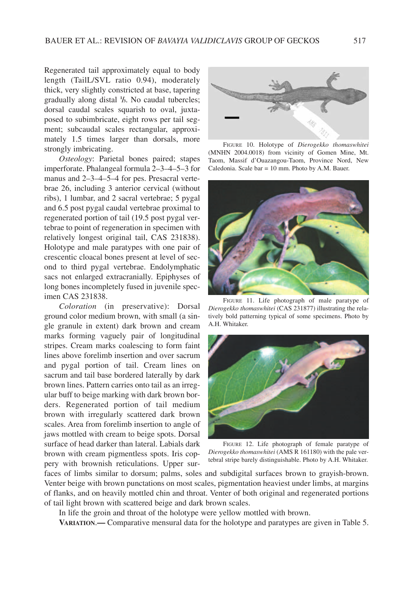Regenerated tail approximately equal to body length (TailL/SVL ratio 0.94), moderately thick, very slightly constricted at base, tapering gradually along distal **<sup>1</sup> /3**. No caudal tubercles; dorsal caudal scales squarish to oval, juxtaposed to subimbricate, eight rows per tail segment; subcaudal scales rectangular, approximately 1.5 times larger than dorsals, more strongly imbricating.

*Osteology*: Parietal bones paired; stapes imperforate. Phalangeal formula 2–3–4–5–3 for manus and 2–3–4–5–4 for pes. Presacral vertebrae 26, including 3 anterior cervical (without ribs), 1 lumbar, and 2 sacral vertebrae; 5 pygal and 6.5 post pygal caudal vertebrae proximal to regenerated portion of tail (19.5 post pygal vertebrae to point of regeneration in specimen with relatively longest original tail, CAS 231838). Holotype and male paratypes with one pair of crescentic cloacal bones present at level of second to third pygal vertebrae. Endolymphatic sacs not enlarged extracranially. Epiphyses of long bones incompletely fused in juvenile specimen CAS 231838.

*Coloration* (in preservative): Dorsal ground color medium brown, with small (a single granule in extent) dark brown and cream marks forming vaguely pair of longitudinal stripes. Cream marks coalescing to form faint lines above forelimb insertion and over sacrum and pygal portion of tail. Cream lines on sacrum and tail base bordered laterally by dark brown lines. Pattern carries onto tail as an irregular buff to beige marking with dark brown borders. Regenerated portion of tail medium brown with irregularly scattered dark brown scales. Area from forelimb insertion to angle of jaws mottled with cream to beige spots. Dorsal surface of head darker than lateral. Labials dark brown with cream pigmentless spots. Iris coppery with brownish reticulations. Upper sur-



FIGURE 10. Holotype of *Dierogekko thomaswhitei* (MNHN 2004.0018) from vicinity of Gomen Mine, Mt. Taom, Massif d'Ouazangou-Taom, Province Nord, New Caledonia. Scale bar = 10 mm. Photo by A.M. Bauer.



FIGURE 11. Life photograph of male paratype of *Dierogekko thomaswhitei* (CAS 231877) illustrating the relatively bold patterning typical of some specimens. Photo by A.H. Whitaker.



FIGURE 12. Life photograph of female paratype of *Dierogekko thomaswhitei* (AMS R 161180) with the pale vertebral stripe barely distinguishable. Photo by A.H. Whitaker.

faces of limbs similar to dorsum; palms, soles and subdigital surfaces brown to grayish-brown. Venter beige with brown punctations on most scales, pigmentation heaviest under limbs, at margins of flanks, and on heavily mottled chin and throat. Venter of both original and regenerated portions of tail light brown with scattered beige and dark brown scales.

In life the groin and throat of the holotype were yellow mottled with brown.

**VARIATION**.**—** Comparative mensural data for the holotype and paratypes are given in Table 5.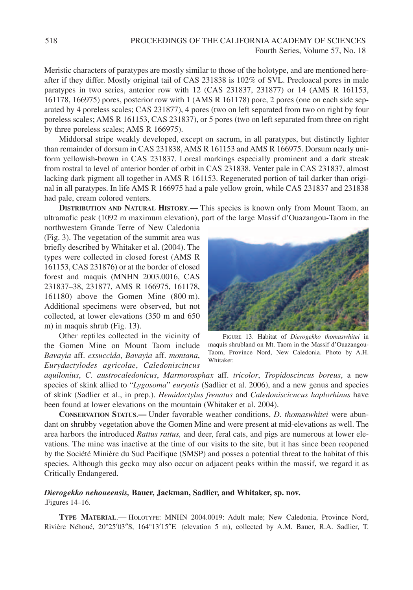Meristic characters of paratypes are mostly similar to those of the holotype, and are mentioned hereafter if they differ. Mostly original tail of CAS 231838 is 102% of SVL. Precloacal pores in male paratypes in two series, anterior row with 12 (CAS 231837, 231877) or 14 (AMS R 161153, 161178, 166975) pores, posterior row with 1 (AMS R 161178) pore, 2 pores (one on each side separated by 4 poreless scales; CAS 231877), 4 pores (two on left separated from two on right by four poreless scales; AMS R 161153, CAS 231837), or 5 pores (two on left separated from three on right by three poreless scales; AMS R 166975).

Middorsal stripe weakly developed, except on sacrum, in all paratypes, but distinctly lighter than remainder of dorsum in CAS 231838, AMS R 161153 and AMS R 166975. Dorsum nearly uniform yellowish-brown in CAS 231837. Loreal markings especially prominent and a dark streak from rostral to level of anterior border of orbit in CAS 231838. Venter pale in CAS 231837, almost lacking dark pigment all together in AMS R 161153. Regenerated portion of tail darker than original in all paratypes. In life AMS R 166975 had a pale yellow groin, while CAS 231837 and 231838 had pale, cream colored venters.

**DISTRIBUTION AND NATURAL HISTORY**.**—** This species is known only from Mount Taom, an ultramafic peak (1092 m maximum elevation), part of the large Massif d'Ouazangou-Taom in the

northwestern Grande Terre of New Caledonia (Fig. 3). The vegetation of the summit area was briefly described by Whitaker et al. (2004). The types were collected in closed forest (AMS R 161153, CAS 231876) or at the border of closed forest and maquis (MNHN 2003.0016, CAS 231837–38, 231877, AMS R 166975, 161178, 161180) above the Gomen Mine (800 m). Additional specimens were observed, but not collected, at lower elevations (350 m and 650 m) in maquis shrub (Fig. 13).

Other reptiles collected in the vicinity of the Gomen Mine on Mount Taom include *Bavayia* aff. *exsuccida*, *Bavayia* aff. *montana*, *Eurydactylodes agricolae*, *Caledoniscincus*



FIGURE 13. Habitat of *Dierogekko thomaswhitei* in maquis shrubland on Mt. Taom in the Massif d'Ouazangou-Taom, Province Nord, New Caledonia. Photo by A.H. Whitaker.

*aquilonius*, *C. austrocaledonicus*, *Marmorosphax* aff. *tricolor*, *Tropidoscincus boreus*, a new species of skink allied to "*Lygosoma*" *euryotis* (Sadlier et al. 2006), and a new genus and species of skink (Sadlier et al., in prep.). *Hemidactylus frenatus* and *Caledoniscicncus haplorhinus* have been found at lower elevations on the mountain (Whitaker et al. 2004).

**CONSERVATION STATUS**.**—** Under favorable weather conditions, *D. thomaswhitei* were abundant on shrubby vegetation above the Gomen Mine and were present at mid-elevations as well. The area harbors the introduced *Rattus rattus,* and deer, feral cats, and pigs are numerous at lower elevations. The mine was inactive at the time of our visits to the site, but it has since been reopened by the Société Minière du Sud Pacifique (SMSP) and posses a potential threat to the habitat of this species. Although this gecko may also occur on adjacent peaks within the massif, we regard it as Critically Endangered.

## *Dierogekko nehoueensis,* **Bauer, Jackman, Sadlier, and Whitaker, sp. nov.**

.Figures 14–16.

**TYPE MATERIAL**.— HOLOTYPE: MNHN 2004.0019: Adult male; New Caledonia, Province Nord, Rivière Néhoué, 20°25′03″S, 164°13′15″Ε (elevation 5 m), collected by A.M. Bauer, R.A. Sadlier, T.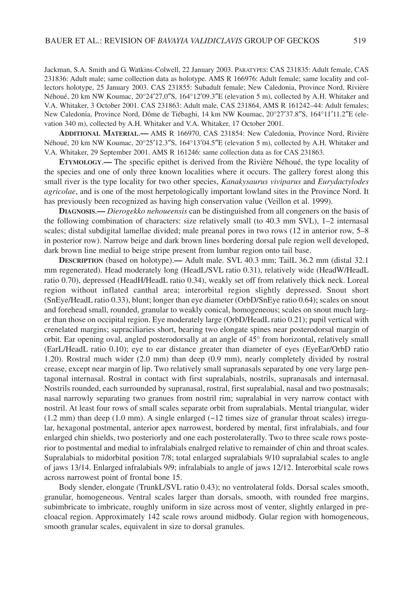Jackman, S.A. Smith and G. Watkins-Colwell, 22 January 2003. PARATYPES: CAS 231835: Adult female, CAS 231836: Adult male; same collection data as holotype. AMS R 166976: Adult female; same locality and collectors holotype, 25 January 2003. CAS 231855: Subadult female; New Caledonia, Province Nord, Rivière Néhoué, 20 km NW Koumac, 20°24′27.0″S, 164°12′09.3″E (elevation 5 m), collected by A.H. Whitaker and V.A. Whitaker, 3 October 2001. CAS 231863: Adult male, CAS 231864, AMS R 161242–44: Adult females; New Caledonia, Province Nord, Dôme de Tiébaghi, 14 km NW Koumac, 20°27′37.8″S, 164°11′11.2″E (elevation 340 m), collected by A.H. Whitaker and V.A. Whitaker, 17 October 2001.

**ADDITIONAL MATERIAL**.**—** AMS R 166970, CAS 231854: New Caledonia, Province Nord, Rivière Néhoué, 20 km NW Koumac, 20°25′12.3″S, 164°13′04.5″E (elevation 5 m), collected by A.H. Whitaker and V.A. Whitaker, 29 September 2001. AMS R 161246: same collection data as for CAS 231863.

**ETYMOLOGY**.**—** The specific epithet is derived from the Rivière Néhoué, the type locality of the species and one of only three known localities where it occurs. The gallery forest along this small river is the type locality for two other species, *Kanakysaurus viviparus* and *Eurydactylodes agricolae*, and is one of the most herpetologically important lowland sites in the Province Nord. It has previously been recognized as having high conservation value (Veillon et al. 1999).

**DIAGNOSIS**.**—** *Dierogekko nehoueensis* can be distinguished from all congeners on the basis of the following combination of characters: size relatively small (to 40.3 mm SVL), 1–2 internasal scales; distal subdigital lamellae divided; male preanal pores in two rows (12 in anterior row, 5–8 in posterior row). Narrow beige and dark brown lines bordering dorsal pale region well developed, dark brown line medial to beige stripe present from lumbar region onto tail base.

**DESCRIPTION** (based on holotype).**—** Adult male. SVL 40.3 mm; TailL 36.2 mm (distal 32.1 mm regenerated). Head moderately long (HeadL/SVL ratio 0.31), relatively wide (HeadW/HeadL ratio 0.70), depressed (HeadH/HeadL ratio 0.34), weakly set off from relatively thick neck. Loreal region without inflated canthal area; interorbital region slightly depressed. Snout short (SnEye/HeadL ratio 0.33), blunt; longer than eye diameter (OrbD/SnEye ratio 0.64); scales on snout and forehead small, rounded, granular to weakly conical, homogeneous; scales on snout much larger than those on occipital region. Eye moderately large (OrbD/HeadL ratio 0.21); pupil vertical with crenelated margins; supraciliaries short, bearing two elongate spines near posterodorsal margin of orbit. Ear opening oval, angled posterodorsally at an angle of 45° from horizontal, relatively small (EarL/HeadL ratio 0.10); eye to ear distance greater than diameter of eyes (EyeEar/OrbD ratio 1.20). Rostral much wider (2.0 mm) than deep (0.9 mm), nearly completely divided by rostral crease, except near margin of lip. Two relatively small supranasals separated by one very large pentagonal internasal. Rostral in contact with first supralabials, nostrils, supranasals and internasal. Nostrils rounded, each surrounded by supranasal, rostral, first supralabial, nasal and two postnasals; nasal narrowly separating two granues from nostril rim; supralabial in very narrow contact with nostril. At least four rows of small scales separate orbit from supralabials. Mental triangular, wider  $(1.2 \text{ mm})$  than deep  $(1.0 \text{ mm})$ . A single enlarged  $(-12 \text{ times size of granular throat scales})$  irregular, hexagonal postmental, anterior apex narrowest, bordered by mental, first infralabials, and four enlarged chin shields, two posteriorly and one each posterolaterally. Two to three scale rows posterior to postmental and medial to infralabials enalrged relative to remainder of chin and throat scales. Supralabials to midorbital position 7/8; total enlarged supralabials 9/10 supralabial scales to angle of jaws 13/14. Enlarged infralabials 9/9; infralabials to angle of jaws 12/12. Interorbital scale rows across narrowest point of frontal bone 15.

Body slender, elongate (TrunkL/SVL ratio 0.43); no ventrolateral folds. Dorsal scales smooth, granular, homogeneous. Ventral scales larger than dorsals, smooth, with rounded free margins, subimbricate to imbricate, roughly uniform in size across most of venter, slightly enlarged in precloacal region. Approximately 142 scale rows around midbody. Gular region with homogeneous, smooth granular scales, equivalent in size to dorsal granules.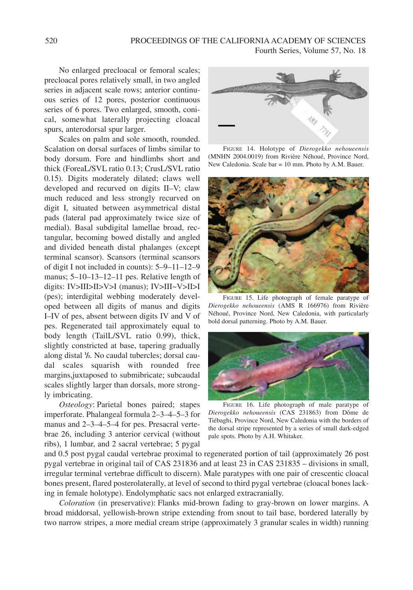No enlarged precloacal or femoral scales; precloacal pores relatively small, in two angled series in adjacent scale rows; anterior continuous series of 12 pores, posterior continuous series of 6 pores. Two enlarged, smooth, conical, somewhat laterally projecting cloacal spurs, anterodorsal spur larger.

Scales on palm and sole smooth, rounded. Scalation on dorsal surfaces of limbs similar to body dorsum. Fore and hindlimbs short and thick (ForeaL/SVL ratio 0.13; CrusL/SVL ratio 0.15). Digits moderately dilated; claws well developed and recurved on digits II–V; claw much reduced and less strongly recurved on digit I, situated between asymmetrical distal pads (lateral pad approximately twice size of medial). Basal subdigital lamellae broad, rectangular, becoming bowed distally and angled and divided beneath distal phalanges (except terminal scansor). Scansors (terminal scansors of digit I not included in counts): 5–9–11–12–9 manus; 5–10–13–12–11 pes. Relative length of digits: IV>III>II>V>I (manus); IV>III~V>II>I (pes); interdigital webbing moderately developed between all digits of manus and digits I–IV of pes, absent between digits IV and V of pes. Regenerated tail approximately equal to body length (TailL/SVL ratio 0.99), thick, slightly constricted at base, tapering gradually along distal **<sup>1</sup> /3**. No caudal tubercles; dorsal caudal scales squarish with rounded free margins,juxtaposed to submibricate; subcaudal scales slightly larger than dorsals, more strongly imbricating.

*Osteology*: Parietal bones paired; stapes imperforate. Phalangeal formula 2–3–4–5–3 for manus and 2–3–4–5–4 for pes. Presacral vertebrae 26, including 3 anterior cervical (without ribs), 1 lumbar, and 2 sacral vertebrae; 5 pygal



FIGURE 14. Holotype of *Dierogekko nehoueensis* (MNHN 2004.0019) from Rivière Néhoué, Province Nord, New Caledonia. Scale bar = 10 mm. Photo by A.M. Bauer.



FIGURE 15. Life photograph of female paratype of *Dierogekko nehoueensis* (AMS R 166976) from Rivière Néhoué, Province Nord, New Caledonia, with particularly bold dorsal patterning. Photo by A.M. Bauer.



FIGURE 16. Life photograph of male paratype of *Dierogekko nehoueensis* (CAS 231863) from Dôme de Tiébaghi, Province Nord, New Caledonia with the borders of the dorsal stripe represented by a series of small dark-edged pale spots. Photo by A.H. Whitaker.

and 0.5 post pygal caudal vertebrae proximal to regenerated portion of tail (approximately 26 post pygal vertebrae in original tail of CAS 231836 and at least 23 in CAS 231835 – divisions in small, irregular terminal vertebrae difficult to discern). Male paratypes with one pair of crescentic cloacal bones present, flared posterolaterally, at level of second to third pygal vertebrae (cloacal bones lacking in female holotype). Endolymphatic sacs not enlarged extracranially.

*Coloration* (in preservative): Flanks mid-brown fading to gray-brown on lower margins. A broad middorsal, yellowish-brown stripe extending from snout to tail base, bordered laterally by two narrow stripes, a more medial cream stripe (approximately 3 granular scales in width) running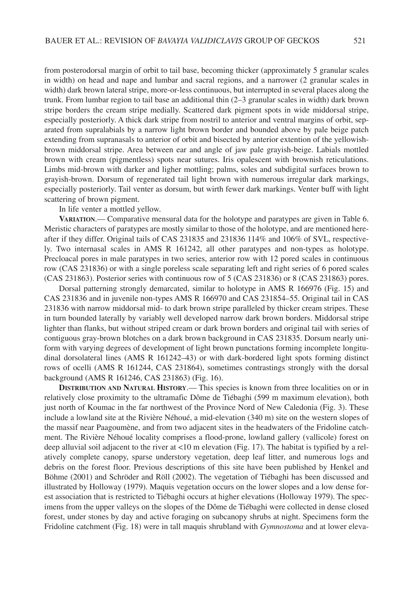from posterodorsal margin of orbit to tail base, becoming thicker (approximately 5 granular scales in width) on head and nape and lumbar and sacral regions, and a narrower (2 granular scales in width) dark brown lateral stripe, more-or-less continuous, but interrupted in several places along the trunk. From lumbar region to tail base an additional thin (2–3 granular scales in width) dark brown stripe borders the cream stripe medially. Scattered dark pigment spots in wide middorsal stripe, especially posteriorly. A thick dark stripe from nostril to anterior and ventral margins of orbit, separated from supralabials by a narrow light brown border and bounded above by pale beige patch extending from supranasals to anterior of orbit and bisected by anterior extention of the yellowishbrown middorsal stripe. Area between ear and angle of jaw pale grayish-beige. Labials mottled brown with cream (pigmentless) spots near sutures. Iris opalescent with brownish reticulations. Limbs mid-brown with darker and ligher mottling; palms, soles and subdigital surfaces brown to grayish-brown. Dorsum of regenerated tail light brown with numerous irregular dark markings, especially posteriorly. Tail venter as dorsum, but wirth fewer dark markings. Venter buff with light scattering of brown pigment.

In life venter a mottled yellow.

**VARIATION**.— Comparative mensural data for the holotype and paratypes are given in Table 6. Meristic characters of paratypes are mostly similar to those of the holotype, and are mentioned hereafter if they differ. Original tails of CAS 231835 and 231836 114% and 106% of SVL, respectively. Two internasal scales in AMS R 161242, all other paratypes and non-types as holotype. Precloacal pores in male paratypes in two series, anterior row with 12 pored scales in continuous row (CAS 231836) or with a single poreless scale separating left and right series of 6 pored scales (CAS 231863). Posterior series with continuous row of 5 (CAS 231836) or 8 (CAS 231863) pores.

Dorsal patterning strongly demarcated, similar to holotype in AMS R 166976 (Fig. 15) and CAS 231836 and in juvenile non-types AMS R 166970 and CAS 231854–55. Original tail in CAS 231836 with narrow middorsal mid- to dark brown stripe paralleled by thicker cream stripes. These in turn bounded laterally by variably well developed narrow dark brown borders. Middorsal stripe lighter than flanks, but without striped cream or dark brown borders and original tail with series of contiguous gray-brown blotches on a dark brown background in CAS 231835. Dorsum nearly uniform with varying degrees of development of light brown punctations forming incomplete longitudinal dorsolateral lines (AMS R 161242–43) or with dark-bordered light spots forming distinct rows of ocelli (AMS R 161244, CAS 231864), sometimes contrastings strongly with the dorsal background (AMS R 161246, CAS 231863) (Fig. 16).

**DISTRIBUTION AND NATURAL HISTORY**.— This species is known from three localities on or in relatively close proximity to the ultramafic Dôme de Tiébaghi (599 m maximum elevation), both just north of Koumac in the far northwest of the Province Nord of New Caledonia (Fig. 3). These include a lowland site at the Rivière Néhoué, a mid-elevation (340 m) site on the western slopes of the massif near Paagoumène, and from two adjacent sites in the headwaters of the Fridoline catchment. The Rivière Néhoué locality comprises a flood-prone, lowland gallery (vallicole) forest on deep alluvial soil adjacent to the river at <10 m elevation (Fig. 17). The habitat is typified by a relatively complete canopy, sparse understory vegetation, deep leaf litter, and numerous logs and debris on the forest floor. Previous descriptions of this site have been published by Henkel and Böhme (2001) and Schröder and Röll (2002). The vegetation of Tiébaghi has been discussed and illustrated by Holloway (1979). Maquis vegetation occurs on the lower slopes and a low dense forest association that is restricted to Tiébaghi occurs at higher elevations (Holloway 1979). The specimens from the upper valleys on the slopes of the Dôme de Tiébaghi were collected in dense closed forest, under stones by day and active foraging on subcanopy shrubs at night. Specimens form the Fridoline catchment (Fig. 18) were in tall maquis shrubland with *Gymnostoma* and at lower eleva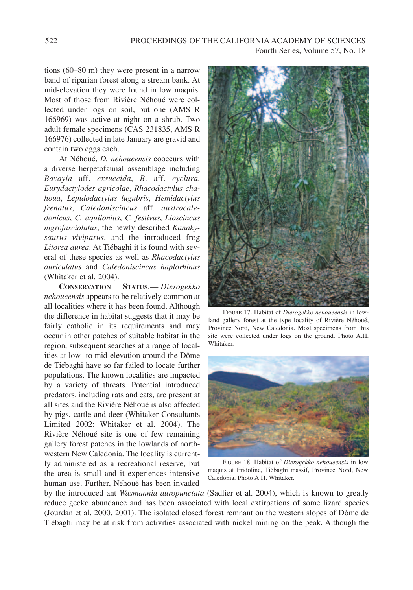tions (60–80 m) they were present in a narrow band of riparian forest along a stream bank. At mid-elevation they were found in low maquis. Most of those from Rivière Néhoué were collected under logs on soil, but one (AMS R 166969) was active at night on a shrub. Two adult female specimens (CAS 231835, AMS R 166976) collected in late January are gravid and contain two eggs each.

At Néhoué, *D. nehoueensis* cooccurs with a diverse herpetofaunal assemblage including *Bavayia* aff. *exsuccida*, *B*. aff. *cyclura*, *Eurydactylodes agricolae*, *Rhacodactylus chahoua*, *Lepidodactylus lugubris*, *Hemidactylus frenatus*, *Caledoniscincus* aff. *austrocaledonicus*, *C. aquilonius*, *C. festivus*, *Lioscincus nigrofasciolatus*, the newly described *Kanakysaurus viviparus*, and the introduced frog *Litorea aurea*. At Tiébaghi it is found with several of these species as well as *Rhacodactylus auriculatus* and *Caledoniscincus haplorhinus* (Whitaker et al. 2004).

**CONSERVATION STATUS**.— *Dierogekko nehoueensis* appears to be relatively common at all localities where it has been found. Although the difference in habitat suggests that it may be fairly catholic in its requirements and may occur in other patches of suitable habitat in the region, subsequent searches at a range of localities at low- to mid-elevation around the Dôme de Tiébaghi have so far failed to locate further populations. The known localities are impacted by a variety of threats. Potential introduced predators, including rats and cats, are present at all sites and the Rivière Néhoué is also affected by pigs, cattle and deer (Whitaker Consultants Limited 2002; Whitaker et al. 2004). The Rivière Néhoué site is one of few remaining gallery forest patches in the lowlands of northwestern New Caledonia. The locality is currently administered as a recreational reserve, but the area is small and it experiences intensive human use. Further, Néhoué has been invaded



FIGURE 17. Habitat of *Dierogekko nehoueensis* in lowland gallery forest at the type locality of Rivière Néhoué, Province Nord, New Caledonia. Most specimens from this site were collected under logs on the ground. Photo A.H. Whitaker.



FIGURE 18. Habitat of *Dierogekko nehoueensis* in low maquis at Fridoline, Tiébaghi massif, Province Nord, New Caledonia. Photo A.H. Whitaker.

by the introduced ant *Wasmannia auropunctata* (Sadlier et al. 2004), which is known to greatly reduce gecko abundance and has been associated with local extirpations of some lizard species (Jourdan et al. 2000, 2001). The isolated closed forest remnant on the western slopes of Dôme de Tiébaghi may be at risk from activities associated with nickel mining on the peak. Although the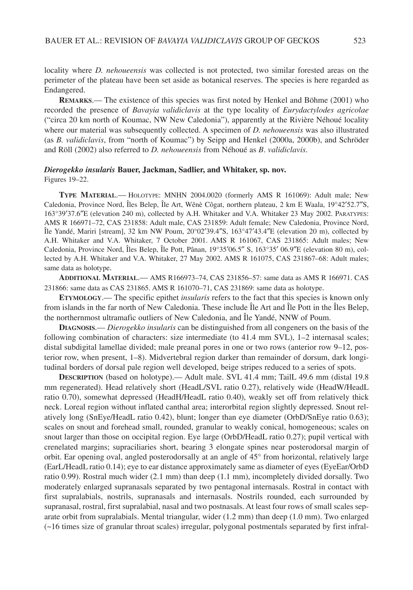locality where *D. nehoueensis* was collected is not protected, two similar forested areas on the perimeter of the plateau have been set aside as botanical reserves. The species is here regarded as Endangered.

**REMARKS**.— The existence of this species was first noted by Henkel and Böhme (2001) who recorded the presence of *Bavayia validiclavis* at the type locality of *Eurydactylodes agricolae* ("circa 20 km north of Koumac, NW New Caledonia"), apparently at the Rivière Néhoué locality where our material was subsequently collected. A specimen of *D. nehoueensis* was also illustrated (as *B. validiclavis*, from "north of Koumac") by Seipp and Henkel (2000a, 2000b), and Schröder and Röll (2002) also referred to *D. nehoueensis* from Néhoué as *B*. *validiclavis*.

#### *Dierogekko insularis* **Bauer, Jackman, Sadlier, and Whitaker, sp. nov.**

Figures 19–22.

**TYPE MATERIAL**.— HOLOTYPE: MNHN 2004.0020 (formerly AMS R 161069): Adult male; New Caledonia, Province Nord, Îles Belep, Île Art, Wênè Côgat, northern plateau, 2 km E Waala, 19°42′52.7″S, 163°39′37.6″E (elevation 240 m), collected by A.H. Whitaker and V.A. Whitaker 23 May 2002. PARATYPES: AMS R 166971–72, CAS 231858: Adult male, CAS 231859: Adult female; New Caledonia, Province Nord, Île Yandé, Mariri [stream], 32 km NW Poum, 20°02′39.4″S, 163°47′43.4″E (elevation 20 m), collected by A.H. Whitaker and V.A. Whitaker, 7 October 2001. AMS R 161067, CAS 231865: Adult males; New Caledonia, Province Nord, Îles Belep, Île Pott, Pânan, 19°35′06.5″ S, 163°35′ 06.9″E (elevation 80 m), collected by A.H. Whitaker and V.A. Whitaker, 27 May 2002. AMS R 161075, CAS 231867–68: Adult males; same data as holotype.

**ADDITIONAL MATERIAL**.— AMS R166973–74, CAS 231856–57: same data as AMS R 166971. CAS 231866: same data as CAS 231865. AMS R 161070–71, CAS 231869: same data as holotype.

**ETYMOLOGY**.— The specific epithet *insularis* refers to the fact that this species is known only from islands in the far north of New Caledonia. These include Île Art and Île Pott in the Îles Belep, the northernmost ultramafic outliers of New Caledonia, and Île Yandé, NNW of Poum.

**DIAGNOSIS**.— *Dierogekko insularis* can be distinguished from all congeners on the basis of the following combination of characters: size intermediate (to 41.4 mm SVL), 1–2 internasal scales; distal subdigital lamellae divided; male preanal pores in one or two rows (anterior row 9–12, posterior row, when present, 1–8). Midvertebral region darker than remainder of dorsum, dark longitudinal borders of dorsal pale region well developed, beige stripes reduced to a series of spots.

**DESCRIPTION** (based on holotype).— Adult male. SVL 41.4 mm; TailL 49.6 mm (distal 19.8 mm regenerated). Head relatively short (HeadL/SVL ratio 0.27), relatively wide (HeadW/HeadL ratio 0.70), somewhat depressed (HeadH/HeadL ratio 0.40), weakly set off from relatively thick neck. Loreal region without inflated canthal area; interorbital region slightly depressed. Snout relatively long (SnEye/HeadL ratio 0.42), blunt; longer than eye diameter (OrbD/SnEye ratio 0.63); scales on snout and forehead small, rounded, granular to weakly conical, homogeneous; scales on snout larger than those on occipital region. Eye large (OrbD/HeadL ratio 0.27); pupil vertical with crenelated margins; supraciliaries short, bearing 3 elongate spines near posterodorsal margin of orbit. Ear opening oval, angled posterodorsally at an angle of 45° from horizontal, relatively large (EarL/HeadL ratio 0.14); eye to ear distance approximately same as diameter of eyes (EyeEar/OrbD ratio 0.99). Rostral much wider (2.1 mm) than deep (1.1 mm), incompletely divided dorsally. Two moderately enlarged supranasals separated by two pentagonal internasals. Rostral in contact with first supralabials, nostrils, supranasals and internasals. Nostrils rounded, each surrounded by supranasal, rostral, first supralabial, nasal and two postnasals. At least four rows of small scales separate orbit from supralabials. Mental triangular, wider (1.2 mm) than deep (1.0 mm). Two enlarged (~16 times size of granular throat scales) irregular, polygonal postmentals separated by first infral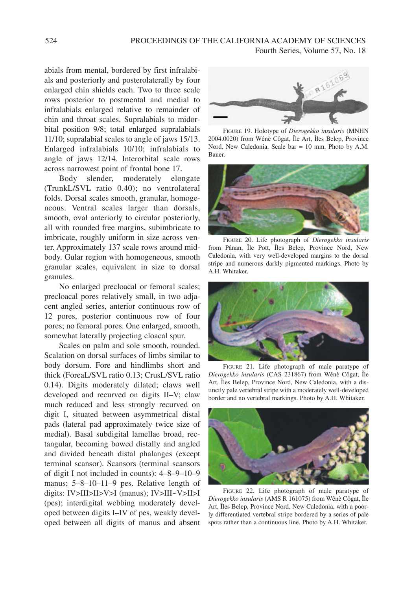abials from mental, bordered by first infralabials and posteriorly and posterolaterally by four enlarged chin shields each. Two to three scale rows posterior to postmental and medial to infralabials enlarged relative to remainder of chin and throat scales. Supralabials to midorbital position 9/8; total enlarged supralabials 11/10; supralabial scales to angle of jaws 15/13. Enlarged infralabials 10/10; infralabials to angle of jaws 12/14. Interorbital scale rows across narrowest point of frontal bone 17.

Body slender, moderately elongate (TrunkL/SVL ratio 0.40); no ventrolateral folds. Dorsal scales smooth, granular, homogeneous. Ventral scales larger than dorsals, smooth, oval anteriorly to circular posteriorly, all with rounded free margins, subimbricate to imbricate, roughly uniform in size across venter. Approximately 137 scale rows around midbody. Gular region with homogeneous, smooth granular scales, equivalent in size to dorsal granules.

No enlarged precloacal or femoral scales; precloacal pores relatively small, in two adjacent angled series, anterior continuous row of 12 pores, posterior continuous row of four pores; no femoral pores. One enlarged, smooth, somewhat laterally projecting cloacal spur.

Scales on palm and sole smooth, rounded. Scalation on dorsal surfaces of limbs similar to body dorsum. Fore and hindlimbs short and thick (ForeaL/SVL ratio 0.13; CrusL/SVL ratio 0.14). Digits moderately dilated; claws well developed and recurved on digits II–V; claw much reduced and less strongly recurved on digit I, situated between asymmetrical distal pads (lateral pad approximately twice size of medial). Basal subdigital lamellae broad, rectangular, becoming bowed distally and angled and divided beneath distal phalanges (except terminal scansor). Scansors (terminal scansors of digit I not included in counts): 4–8–9–10–9 manus; 5–8–10–11–9 pes. Relative length of digits: IV>III>II>V>I (manus); IV>III~V>II>I (pes); interdigital webbing moderately developed between digits I–IV of pes, weakly developed between all digits of manus and absent



FIGURE 19. Holotype of *Dierogekko insularis* (MNHN 2004.0020) from Wênè Côgat, Île Art, Îles Belep, Province Nord, New Caledonia. Scale bar = 10 mm. Photo by A.M. Bauer.



FIGURE 20. Life photograph of *Dierogekko insularis* from Pânan, Île Pott, Îles Belep, Province Nord, New Caledonia, with very well-developed margins to the dorsal stripe and numerous darkly pigmented markings. Photo by A.H. Whitaker.



FIGURE 21. Life photograph of male paratype of *Dierogekko insularis* (CAS 231867) from Wênè Côgat, Île Art, Îles Belep, Province Nord, New Caledonia, with a distinctly pale vertebral stripe with a moderately well-developed border and no vertebral markings. Photo by A.H. Whitaker.



FIGURE 22. Life photograph of male paratype of *Dierogekko insularis* (AMS R 161075) from Wênè Côgat, Île Art, Îles Belep, Province Nord, New Caledonia, with a poorly differentiated vertebral stripe bordered by a series of pale spots rather than a continuous line. Photo by A.H. Whitaker.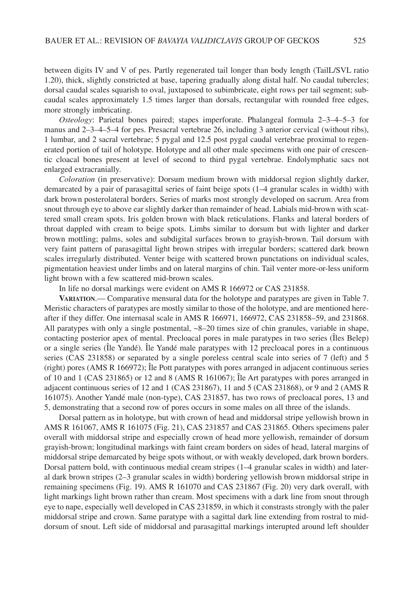between digits IV and V of pes. Partly regenerated tail longer than body length (TailL/SVL ratio 1.20), thick, slightly constricted at base, tapering gradually along distal half. No caudal tubercles; dorsal caudal scales squarish to oval, juxtaposed to subimbricate, eight rows per tail segment; subcaudal scales approximately 1.5 times larger than dorsals, rectangular with rounded free edges, more strongly imbricating.

*Osteology*: Parietal bones paired; stapes imperforate. Phalangeal formula 2–3–4–5–3 for manus and 2–3–4–5–4 for pes. Presacral vertebrae 26, including 3 anterior cervical (without ribs), 1 lumbar, and 2 sacral vertebrae; 5 pygal and 12.5 post pygal caudal vertebrae proximal to regenerated portion of tail of holotype. Holotype and all other male specimens with one pair of crescentic cloacal bones present at level of second to third pygal vertebrae. Endolymphatic sacs not enlarged extracranially.

*Coloration* (in preservative): Dorsum medium brown with middorsal region slightly darker, demarcated by a pair of parasagittal series of faint beige spots (1–4 granular scales in width) with dark brown posterolateral borders. Series of marks most strongly developed on sacrum. Area from snout through eye to above ear slightly darker than remainder of head. Labials mid-brown with scattered small cream spots. Iris golden brown with black reticulations. Flanks and lateral borders of throat dappled with cream to beige spots. Limbs similar to dorsum but with lighter and darker brown mottling; palms, soles and subdigital surfaces brown to grayish-brown. Tail dorsum with very faint pattern of parasagittal light brown stripes with irregular borders; scattered dark brown scales irregularly distributed. Venter beige with scattered brown punctations on individual scales, pigmentation heaviest under limbs and on lateral margins of chin. Tail venter more-or-less uniform light brown with a few scattered mid-brown scales.

In life no dorsal markings were evident on AMS R 166972 or CAS 231858.

**VARIATION**.— Comparative mensural data for the holotype and paratypes are given in Table 7. Meristic characters of paratypes are mostly similar to those of the holotype, and are mentioned hereafter if they differ. One internasal scale in AMS R 166971, 166972, CAS 231858–59, and 231868. All paratypes with only a single postmental,  $\sim$ 8–20 times size of chin granules, variable in shape, contacting posterior apex of mental. Precloacal pores in male paratypes in two series (Îles Belep) or a single series (Île Yandé). Île Yandé male paratypes with 12 precloacal pores in a continuous series (CAS 231858) or separated by a single poreless central scale into series of 7 (left) and 5 (right) pores (AMS R 166972); Île Pott paratypes with pores arranged in adjacent continuous series of 10 and 1 (CAS 231865) or 12 and 8 (AMS R 161067); Île Art paratypes with pores arranged in adjacent continuous series of 12 and 1 (CAS 231867), 11 and 5 (CAS 231868), or 9 and 2 (AMS R 161075). Another Yandé male (non-type), CAS 231857, has two rows of precloacal pores, 13 and 5, demonstrating that a second row of pores occurs in some males on all three of the islands.

Dorsal pattern as in holotype, but with crown of head and middorsal stripe yellowish brown in AMS R 161067, AMS R 161075 (Fig. 21), CAS 231857 and CAS 231865. Others specimens paler overall with middorsal stripe and especially crown of head more yellowish, remainder of dorsum grayish-brown; longitudinal markings with faint cream borders on sides of head, lateral margins of middorsal stripe demarcated by beige spots without, or with weakly developed, dark brown borders. Dorsal pattern bold, with continuous medial cream stripes (1–4 granular scales in width) and lateral dark brown stripes (2–3 granular scales in width) bordering yellowish brown middorsal stripe in remaining specimens (Fig. 19). AMS R 161070 and CAS 231867 (Fig. 20) very dark overall, with light markings light brown rather than cream. Most specimens with a dark line from snout through eye to nape, especially well developed in CAS 231859, in which it constrasts strongly with the paler middorsal stripe and crown. Same paratype with a sagittal dark line extending from rostral to middorsum of snout. Left side of middorsal and parasagittal markings interupted around left shoulder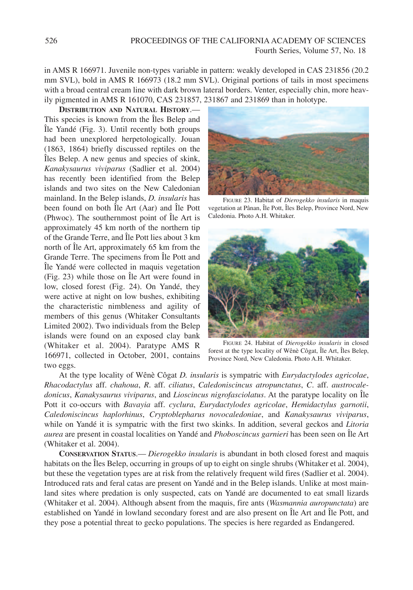in AMS R 166971. Juvenile non-types variable in pattern: weakly developed in CAS 231856 (20.2 mm SVL), bold in AMS R 166973 (18.2 mm SVL). Original portions of tails in most specimens with a broad central cream line with dark brown lateral borders. Venter, especially chin, more heavily pigmented in AMS R 161070, CAS 231857, 231867 and 231869 than in holotype.

**DISTRIBUTION AND NATURAL HISTORY**.— This species is known from the Îles Belep and Île Yandé (Fig. 3). Until recently both groups had been unexplored herpetologically. Jouan (1863, 1864) briefly discussed reptiles on the Îles Belep. A new genus and species of skink, *Kanakysaurus viviparus* (Sadlier et al. 2004) has recently been identified from the Belep islands and two sites on the New Caledonian mainland. In the Belep islands, *D. insularis* has been found on both Île Art (Aar) and Île Pott (Phwoc). The southernmost point of Île Art is approximately 45 km north of the northern tip of the Grande Terre, and Île Pott lies about 3 km north of Île Art, approximately 65 km from the Grande Terre. The specimens from Île Pott and Île Yandé were collected in maquis vegetation (Fig. 23) while those on Île Art were found in low, closed forest (Fig. 24). On Yandé, they were active at night on low bushes, exhibiting the characteristic nimbleness and agility of members of this genus (Whitaker Consultants Limited 2002). Two individuals from the Belep islands were found on an exposed clay bank (Whitaker et al. 2004). Paratype AMS R 166971, collected in October, 2001, contains two eggs.



FIGURE 23. Habitat of *Dierogekko insularis* in maquis vegetation at Pânan, Île Pott, Îles Belep, Province Nord, New Caledonia. Photo A.H. Whitaker.



FIGURE 24. Habitat of *Dierogekko insularis* in closed forest at the type locality of Wênè Côgat, Île Art, Îles Belep, Province Nord, New Caledonia. Photo A.H. Whitaker.

At the type locality of Wênè Côgat *D. insularis* is sympatric with *Eurydactylodes agricolae*, *Rhacodactylus* aff. *chahoua*, *R*. aff. *ciliatus*, *Caledoniscincus atropunctatus*, *C*. aff. *austrocaledonicus*, *Kanakysaurus viviparus*, and *Lioscincus nigrofasciolatus*. At the paratype locality on Île Pott it co-occurs with *Bavayia* aff. *cyclura*, *Eurydactylodes agricolae*, *Hemidactylus garnotii*, *Caledoniscincus haplorhinus*, *Cryptoblepharus novocaledoniae*, and *Kanakysaurus viviparus*, while on Yandé it is sympatric with the first two skinks. In addition, several geckos and *Litoria aurea* are present in coastal localities on Yandé and *Phoboscincus garnieri* has been seen on Île Art (Whitaker et al. 2004).

**CONSERVATION STATUS**.— *Dierogekko insularis* is abundant in both closed forest and maquis habitats on the Îles Belep, occurring in groups of up to eight on single shrubs (Whitaker et al. 2004), but these the vegetation types are at risk from the relatively frequent wild fires (Sadlier et al. 2004). Introduced rats and feral catas are present on Yandé and in the Belep islands. Unlike at most mainland sites where predation is only suspected, cats on Yandé are documented to eat small lizards (Whitaker et al. 2004). Although absent from the maquis, fire ants (*Wasmannia auropunctata*) are established on Yandé in lowland secondary forest and are also present on Île Art and Île Pott, and they pose a potential threat to gecko populations. The species is here regarded as Endangered.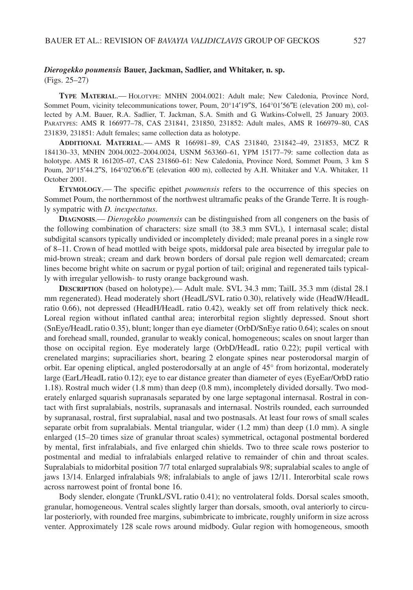# *Dierogekko poumensis* **Bauer, Jackman, Sadlier, and Whitaker, n. sp.**

(Figs. 25–27)

**TYPE MATERIAL**.— HOLOTYPE: MNHN 2004.0021: Adult male; New Caledonia, Province Nord, Sommet Poum, vicinity telecommunications tower, Poum, 20°14′19″S, 164°01′56″E (elevation 200 m), collected by A.M. Bauer, R.A. Sadlier, T. Jackman, S.A. Smith and G. Watkins-Colwell, 25 January 2003. PARATYPES: AMS R 166977–78, CAS 231841, 231850, 231852: Adult males, AMS R 166979–80, CAS 231839, 231851: Adult females; same collection data as holotype.

**ADDITIONAL MATERIAL**.— AMS R 166981–89, CAS 231840, 231842–49, 231853, MCZ R 184130–33, MNHN 2004.0022–2004.0024, USNM 563360–61, YPM 15177–79: same collection data as holotype. AMS R 161205–07, CAS 231860–61: New Caledonia, Province Nord, Sommet Poum, 3 km S Poum, 20°15′44.2″S, 164°02′06.6″E (elevation 400 m), collected by A.H. Whitaker and V.A. Whitaker, 11 October 2001.

**ETYMOLOGY**.— The specific epithet *poumensis* refers to the occurrence of this species on Sommet Poum, the northernmost of the northwest ultramafic peaks of the Grande Terre. It is roughly sympatric with *D. inexpectatus*.

**DIAGNOSIS**.— *Dierogekko poumensis* can be distinguished from all congeners on the basis of the following combination of characters: size small (to 38.3 mm SVL), 1 internasal scale; distal subdigital scansors typically undivided or incompletely divided; male preanal pores in a single row of 8–11. Crown of head mottled with beige spots, middorsal pale area bisected by irregular pale to mid-brown streak; cream and dark brown borders of dorsal pale region well demarcated; cream lines become bright white on sacrum or pygal portion of tail; original and regenerated tails typically with irregular yellowish- to rusty orange background wash.

**DESCRIPTION** (based on holotype).— Adult male. SVL 34.3 mm; TailL 35.3 mm (distal 28.1 mm regenerated). Head moderately short (HeadL/SVL ratio 0.30), relatively wide (HeadW/HeadL ratio 0.66), not depressed (HeadH/HeadL ratio 0.42), weakly set off from relatively thick neck. Loreal region without inflated canthal area; interorbital region slightly depressed. Snout short (SnEye/HeadL ratio 0.35), blunt; longer than eye diameter (OrbD/SnEye ratio 0.64); scales on snout and forehead small, rounded, granular to weakly conical, homogeneous; scales on snout larger than those on occipital region. Eye moderately large (OrbD/HeadL ratio 0.22); pupil vertical with crenelated margins; supraciliaries short, bearing 2 elongate spines near posterodorsal margin of orbit. Ear opening eliptical, angled posterodorsally at an angle of 45° from horizontal, moderately large (EarL/HeadL ratio 0.12); eye to ear distance greater than diameter of eyes (EyeEar/OrbD ratio 1.18). Rostral much wider (1.8 mm) than deep (0.8 mm), incompletely divided dorsally. Two moderately enlarged squarish supranasals separated by one large septagonal internasal. Rostral in contact with first supralabials, nostrils, supranasals and internasal. Nostrils rounded, each surrounded by supranasal, rostral, first supralabial, nasal and two postnasals. At least four rows of small scales separate orbit from supralabials. Mental triangular, wider (1.2 mm) than deep (1.0 mm). A single enlarged (15–20 times size of granular throat scales) symmetrical, octagonal postmental bordered by mental, first infralabials, and five enlarged chin shields. Two to three scale rows posterior to postmental and medial to infralabials enlarged relative to remainder of chin and throat scales. Supralabials to midorbital position 7/7 total enlarged supralabials 9/8; supralabial scales to angle of jaws 13/14. Enlarged infralabials 9/8; infralabials to angle of jaws 12/11. Interorbital scale rows across narrowest point of frontal bone 16.

Body slender, elongate (TrunkL/SVL ratio 0.41); no ventrolateral folds. Dorsal scales smooth, granular, homogeneous. Ventral scales slightly larger than dorsals, smooth, oval anteriorly to circular posteriorly, with rounded free margins, subimbricate to imbricate, roughly uniform in size across venter. Approximately 128 scale rows around midbody. Gular region with homogeneous, smooth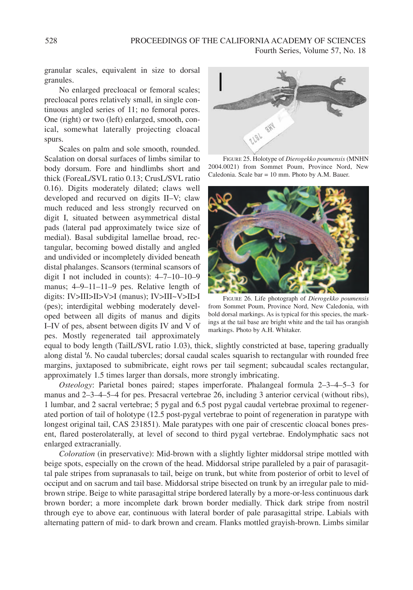granular scales, equivalent in size to dorsal granules.

No enlarged precloacal or femoral scales; precloacal pores relatively small, in single continuous angled series of 11; no femoral pores. One (right) or two (left) enlarged, smooth, conical, somewhat laterally projecting cloacal spurs.

Scales on palm and sole smooth, rounded. Scalation on dorsal surfaces of limbs similar to body dorsum. Fore and hindlimbs short and thick (ForeaL/SVL ratio 0.13; CrusL/SVL ratio 0.16). Digits moderately dilated; claws well developed and recurved on digits II–V; claw much reduced and less strongly recurved on digit I, situated between asymmetrical distal pads (lateral pad approximately twice size of medial). Basal subdigital lamellae broad, rectangular, becoming bowed distally and angled and undivided or incompletely divided beneath distal phalanges. Scansors (terminal scansors of digit I not included in counts): 4–7–10–10–9 manus; 4–9–11–11–9 pes. Relative length of digits: IV>III>II>V>I (manus); IV>III~V>II>I (pes); interdigital webbing moderately developed between all digits of manus and digits I–IV of pes, absent between digits IV and V of pes. Mostly regenerated tail approximately



FIGURE 25. Holotype of *Dierogekko poumensis* (MNHN 2004.0021) from Sommet Poum, Province Nord, New Caledonia. Scale bar = 10 mm. Photo by A.M. Bauer.



FIGURE 26. Life photograph of *Dierogekko poumensis* from Sommet Poum, Province Nord, New Caledonia, with bold dorsal markings. As is typical for this species, the markings at the tail base are bright white and the tail has orangish markings. Photo by A.H. Whitaker.

equal to body length (TailL/SVL ratio 1.03), thick, slightly constricted at base, tapering gradually along distal **<sup>1</sup> /3**. No caudal tubercles; dorsal caudal scales squarish to rectangular with rounded free margins, juxtaposed to submibricate, eight rows per tail segment; subcaudal scales rectangular, approximately 1.5 times larger than dorsals, more strongly imbricating.

*Osteology*: Parietal bones paired; stapes imperforate. Phalangeal formula 2–3–4–5–3 for manus and 2–3–4–5–4 for pes. Presacral vertebrae 26, including 3 anterior cervical (without ribs), 1 lumbar, and 2 sacral vertebrae; 5 pygal and 6.5 post pygal caudal vertebrae proximal to regenerated portion of tail of holotype (12.5 post-pygal vertebrae to point of regeneration in paratype with longest original tail, CAS 231851). Male paratypes with one pair of crescentic cloacal bones present, flared posterolaterally, at level of second to third pygal vertebrae. Endolymphatic sacs not enlarged extracranially.

*Coloration* (in preservative): Mid-brown with a slightly lighter middorsal stripe mottled with beige spots, especially on the crown of the head. Middorsal stripe paralleled by a pair of parasagittal pale stripes from supranasals to tail, beige on trunk, but white from posterior of orbit to level of occiput and on sacrum and tail base. Middorsal stripe bisected on trunk by an irregular pale to midbrown stripe. Beige to white parasagittal stripe bordered laterally by a more-or-less continuous dark brown border; a more incomplete dark brown border medially. Thick dark stripe from nostril through eye to above ear, continuous with lateral border of pale parasagittal stripe. Labials with alternating pattern of mid- to dark brown and cream. Flanks mottled grayish-brown. Limbs similar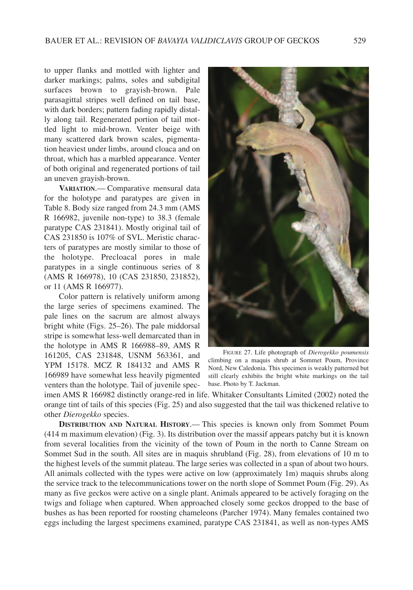to upper flanks and mottled with lighter and darker markings; palms, soles and subdigital surfaces brown to grayish-brown. Pale parasagittal stripes well defined on tail base, with dark borders; pattern fading rapidly distally along tail. Regenerated portion of tail mottled light to mid-brown. Venter beige with many scattered dark brown scales, pigmentation heaviest under limbs, around cloaca and on throat, which has a marbled appearance. Venter of both original and regenerated portions of tail an uneven grayish-brown.

**VARIATION**.— Comparative mensural data for the holotype and paratypes are given in Table 8. Body size ranged from 24.3 mm (AMS R 166982, juvenile non-type) to 38.3 (female paratype CAS 231841). Mostly original tail of CAS 231850 is 107% of SVL. Meristic characters of paratypes are mostly similar to those of the holotype. Precloacal pores in male paratypes in a single continuous series of 8 (AMS R 166978), 10 (CAS 231850, 231852), or 11 (AMS R 166977).

Color pattern is relatively uniform among the large series of specimens examined. The pale lines on the sacrum are almost always bright white (Figs. 25–26). The pale middorsal stripe is somewhat less-well demarcated than in the holotype in AMS R 166988–89, AMS R 161205, CAS 231848, USNM 563361, and YPM 15178. MCZ R 184132 and AMS R 166989 have somewhat less heavily pigmented venters than the holotype. Tail of juvenile spec-



FIGURE 27. Life photograph of *Dierogekko poumensis* climbing on a maquis shrub at Sommet Poum, Province Nord, New Caledonia. This specimen is weakly patterned but still clearly exhibits the bright white markings on the tail base. Photo by T. Jackman.

imen AMS R 166982 distinctly orange-red in life. Whitaker Consultants Limited (2002) noted the orange tint of tails of this species (Fig. 25) and also suggested that the tail was thickened relative to other *Dierogekko* species.

**DISTRIBUTION AND NATURAL HISTORY**.— This species is known only from Sommet Poum (414 m maximum elevation) (Fig. 3). Its distribution over the massif appears patchy but it is known from several localities from the vicinity of the town of Poum in the north to Canne Stream on Sommet Sud in the south. All sites are in maquis shrubland (Fig. 28), from elevations of 10 m to the highest levels of the summit plateau. The large series was collected in a span of about two hours. All animals collected with the types were active on low (approximately 1m) maquis shrubs along the service track to the telecommunications tower on the north slope of Sommet Poum (Fig. 29). As many as five geckos were active on a single plant. Animals appeared to be actively foraging on the twigs and foliage when captured. When approached closely some geckos dropped to the base of bushes as has been reported for roosting chameleons (Parcher 1974). Many females contained two eggs including the largest specimens examined, paratype CAS 231841, as well as non-types AMS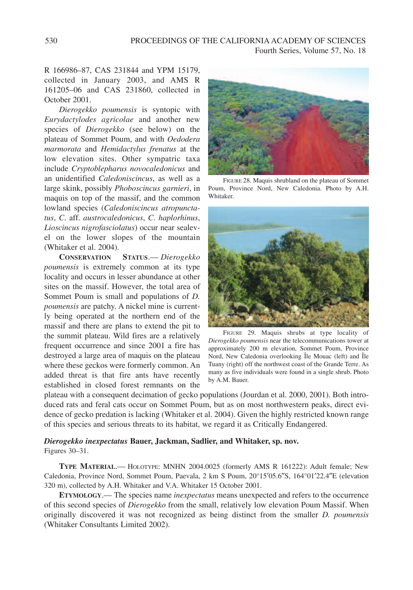# R 166986–87, CAS 231844 and YPM 15179, collected in January 2003, and AMS R 161205–06 and CAS 231860, collected in October 2001.

*Dierogekko poumensis* is syntopic with *Eurydactylodes agricolae* and another new species of *Dierogekko* (see below) on the plateau of Sommet Poum, and with *Oedodera marmorata* and *Hemidactylus frenatus* at the low elevation sites. Other sympatric taxa include *Cryptoblepharus novocaledonicus* and an unidentified *Caledoniscincus*, as well as a large skink, possibly *Phoboscincus garnieri*, in maquis on top of the massif, and the common lowland species (*Caledoniscincus atropunctatus*, *C*. aff. *austrocaledonicus*, *C*. *haplorhinus*, *Lioscincus nigrofasciolatus*) occur near sealevel on the lower slopes of the mountain (Whitaker et al. 2004).

**CONSERVATION STATUS**.— *Dierogekko poumensis* is extremely common at its type locality and occurs in lesser abundance at other sites on the massif. However, the total area of Sommet Poum is small and populations of *D. poumensis* are patchy. A nickel mine is currently being operated at the northern end of the massif and there are plans to extend the pit to the summit plateau. Wild fires are a relatively frequent occurrence and since 2001 a fire has destroyed a large area of maquis on the plateau where these geckos were formerly common. An added threat is that fire ants have recently established in closed forest remnants on the



FIGURE 28. Maquis shrubland on the plateau of Sommet Poum, Province Nord, New Caledonia. Photo by A.H. Whitaker.



FIGURE 29. Maquis shrubs at type locality of *Dierogekko poumensis* near the telecommunications tower at approximately 200 m elevation, Sommet Poum, Province Nord, New Caledonia overlooking Île Mouac (left) and Île Tuany (right) off the northwest coast of the Grande Terre. As many as five individuals were found in a single shrub. Photo by A.M. Bauer.

plateau with a consequent decimation of gecko populations (Jourdan et al. 2000, 2001). Both introduced rats and feral cats occur on Sommet Poum, but as on most northwestern peaks, direct evidence of gecko predation is lacking (Whitaker et al. 2004). Given the highly restricted known range of this species and serious threats to its habitat, we regard it as Critically Endangered.

#### *Dierogekko inexpectatus* **Bauer, Jackman, Sadlier, and Whitaker, sp. nov.** Figures 30–31.

**TYPE MATERIAL**.— HOLOTYPE: MNHN 2004.0025 (formerly AMS R 161222): Adult female; New Caledonia, Province Nord, Sommet Poum, Paevala, 2 km S Poum, 20°15′05.6″S, 164°01′22.4″E (elevation 320 m), collected by A.H. Whitaker and V.A. Whitaker 15 October 2001.

**ETYMOLOGY**.— The species name *inexpectatus* means unexpected and refers to the occurrence of this second species of *Dierogekko* from the small, relatively low elevation Poum Massif. When originally discovered it was not recognized as being distinct from the smaller *D. poumensis* (Whitaker Consultants Limited 2002).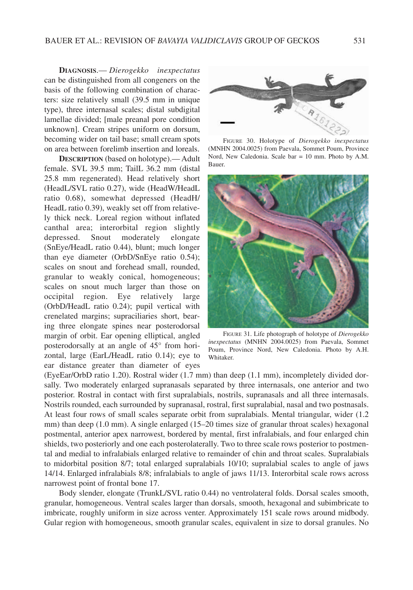**DIAGNOSIS**.— *Dierogekko inexpectatus* can be distinguished from all congeners on the basis of the following combination of characters: size relatively small (39.5 mm in unique type), three internasal scales; distal subdigital lamellae divided; [male preanal pore condition unknown]. Cream stripes uniform on dorsum, becoming wider on tail base; small cream spots on area between forelimb insertion and loreals.

**DESCRIPTION** (based on holotype).— Adult female. SVL 39.5 mm; TailL 36.2 mm (distal 25.8 mm regenerated). Head relatively short (HeadL/SVL ratio 0.27), wide (HeadW/HeadL ratio 0.68), somewhat depressed (HeadH/ HeadL ratio 0.39), weakly set off from relatively thick neck. Loreal region without inflated canthal area; interorbital region slightly depressed. Snout moderately elongate (SnEye/HeadL ratio 0.44), blunt; much longer than eye diameter (OrbD/SnEye ratio 0.54); scales on snout and forehead small, rounded, granular to weakly conical, homogeneous; scales on snout much larger than those on occipital region. Eye relatively large (OrbD/HeadL ratio 0.24); pupil vertical with crenelated margins; supraciliaries short, bearing three elongate spines near posterodorsal margin of orbit. Ear opening elliptical, angled posterodorsally at an angle of 45° from horizontal, large (EarL/HeadL ratio 0.14); eye to ear distance greater than diameter of eyes



FIGURE 30. Holotype of *Dierogekko inexpectatus* (MNHN 2004.0025) from Paevala, Sommet Poum, Province Nord, New Caledonia. Scale bar = 10 mm. Photo by A.M. Bauer.



FIGURE 31. Life photograph of holotype of *Dierogekko inexpectatus* (MNHN 2004.0025) from Paevala, Sommet Poum, Province Nord, New Caledonia. Photo by A.H. Whitaker.

(EyeEar/OrbD ratio 1.20). Rostral wider (1.7 mm) than deep (1.1 mm), incompletely divided dorsally. Two moderately enlarged supranasals separated by three internasals, one anterior and two posterior. Rostral in contact with first supralabials, nostrils, supranasals and all three internasals. Nostrils rounded, each surrounded by supranasal, rostral, first supralabial, nasal and two postnasals. At least four rows of small scales separate orbit from supralabials. Mental triangular, wider (1.2 mm) than deep (1.0 mm). A single enlarged (15–20 times size of granular throat scales) hexagonal postmental, anterior apex narrowest, bordered by mental, first infralabials, and four enlarged chin shields, two posteriorly and one each posterolaterally. Two to three scale rows posterior to postmental and medial to infralabials enlarged relative to remainder of chin and throat scales. Supralabials to midorbital position 8/7; total enlarged supralabials 10/10; supralabial scales to angle of jaws 14/14. Enlarged infralabials 8/8; infralabials to angle of jaws 11/13. Interorbital scale rows across narrowest point of frontal bone 17.

Body slender, elongate (TrunkL/SVL ratio 0.44) no ventrolateral folds. Dorsal scales smooth, granular, homogeneous. Ventral scales larger than dorsals, smooth, hexagonal and subimbricate to imbricate, roughly uniform in size across venter. Approximately 151 scale rows around midbody. Gular region with homogeneous, smooth granular scales, equivalent in size to dorsal granules. No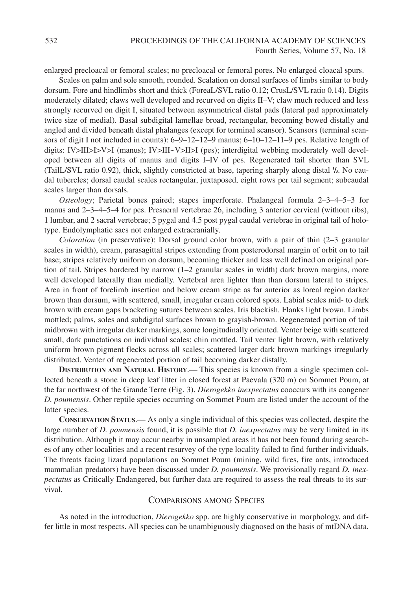enlarged precloacal or femoral scales; no precloacal or femoral pores. No enlarged cloacal spurs.

Scales on palm and sole smooth, rounded. Scalation on dorsal surfaces of limbs similar to body dorsum. Fore and hindlimbs short and thick (ForeaL/SVL ratio 0.12; CrusL/SVL ratio 0.14). Digits moderately dilated; claws well developed and recurved on digits II–V; claw much reduced and less strongly recurved on digit I, situated between asymmetrical distal pads (lateral pad approximately twice size of medial). Basal subdigital lamellae broad, rectangular, becoming bowed distally and angled and divided beneath distal phalanges (except for terminal scansor). Scansors (terminal scansors of digit I not included in counts): 6–9–12–12–9 manus; 6–10–12–11–9 pes. Relative length of digits: IV>III>I>V>I (manus); IV>III~V>II>I (pes); interdigital webbing moderately well developed between all digits of manus and digits I–IV of pes. Regenerated tail shorter than SVL (TailL/SVL ratio 0.92), thick, slightly constricted at base, tapering sharply along distal **<sup>1</sup> /3**. No caudal tubercles; dorsal caudal scales rectangular, juxtaposed, eight rows per tail segment; subcaudal scales larger than dorsals.

*Osteology*; Parietal bones paired; stapes imperforate. Phalangeal formula 2–3–4–5–3 for manus and 2–3–4–5–4 for pes. Presacral vertebrae 26, including 3 anterior cervical (without ribs), 1 lumbar, and 2 sacral vertebrae; 5 pygal and 4.5 post pygal caudal vertebrae in original tail of holotype. Endolymphatic sacs not enlarged extracranially.

*Coloration* (in preservative): Dorsal ground color brown, with a pair of thin (2–3 granular scales in width), cream, parasagittal stripes extending from posterodorsal margin of orbit on to tail base; stripes relatively uniform on dorsum, becoming thicker and less well defined on original portion of tail. Stripes bordered by narrow (1–2 granular scales in width) dark brown margins, more well developed laterally than medially. Vertebral area lighter than than dorsum lateral to stripes. Area in front of forelimb insertion and below cream stripe as far anterior as loreal region darker brown than dorsum, with scattered, small, irregular cream colored spots. Labial scales mid- to dark brown with cream gaps bracketing sutures between scales. Iris blackish. Flanks light brown. Limbs mottled; palms, soles and subdigital surfaces brown to grayish-brown. Regenerated portion of tail midbrown with irregular darker markings, some longitudinally oriented. Venter beige with scattered small, dark punctations on individual scales; chin mottled. Tail venter light brown, with relatively uniform brown pigment flecks across all scales; scattered larger dark brown markings irregularly distributed. Venter of regenerated portion of tail becoming darker distally.

**DISTRIBUTION AND NATURAL HISTORY**.— This species is known from a single specimen collected beneath a stone in deep leaf litter in closed forest at Paevala (320 m) on Sommet Poum, at the far northwest of the Grande Terre (Fig. 3). *Dierogekko inexpectatus* cooccurs with its congener *D. poumensis*. Other reptile species occurring on Sommet Poum are listed under the account of the latter species.

**CONSERVATION STATUS**.— As only a single individual of this species was collected, despite the large number of *D. poumensis* found, it is possible that *D. inexpectatus* may be very limited in its distribution. Although it may occur nearby in unsampled areas it has not been found during searches of any other localities and a recent resurvey of the type locality failed to find further individuals. The threats facing lizard populations on Sommet Poum (mining, wild fires, fire ants, introduced mammalian predators) have been discussed under *D. poumensis*. We provisionally regard *D. inexpectatus* as Critically Endangered, but further data are required to assess the real threats to its survival.

# COMPARISONS AMONG SPECIES

As noted in the introduction, *Dierogekko* spp. are highly conservative in morphology, and differ little in most respects. All species can be unambiguously diagnosed on the basis of mtDNA data,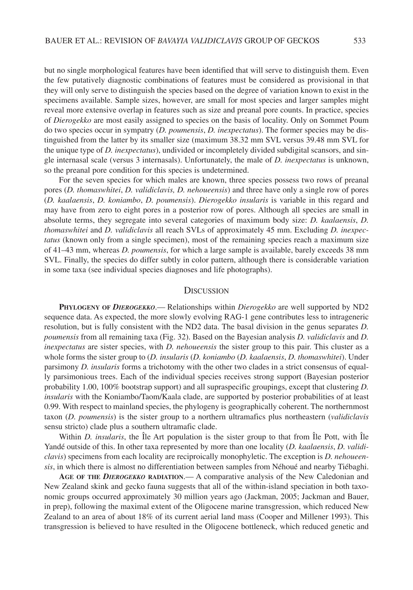but no single morphological features have been identified that will serve to distinguish them. Even the few putatively diagnostic combinations of features must be considered as provisional in that they will only serve to distinguish the species based on the degree of variation known to exist in the specimens available. Sample sizes, however, are small for most species and larger samples might reveal more extensive overlap in features such as size and preanal pore counts. In practice, species of *Dierogekko* are most easily assigned to species on the basis of locality. Only on Sommet Poum do two species occur in sympatry (*D. poumensis*, *D. inexpectatus*). The former species may be distinguished from the latter by its smaller size (maximum 38.32 mm SVL versus 39.48 mm SVL for the unique type of *D. inexpectatus*), undivided or incompletely divided subdigital scansors, and single internasal scale (versus 3 internasals). Unfortunately, the male of *D. inexpectatus* is unknown, so the preanal pore condition for this species is undetermined.

For the seven species for which males are known, three species possess two rows of preanal pores (*D. thomaswhitei*, *D. validiclavis, D. nehoueensis*) and three have only a single row of pores (*D. kaalaensis*, *D. koniambo*, *D. poumensis*). *Dierogekko insularis* is variable in this regard and may have from zero to eight pores in a posterior row of pores. Although all species are small in absolute terms, they segregate into several categories of maximum body size: *D. kaalaensis*, *D. thomaswhitei* and *D. validiclavis* all reach SVLs of approximately 45 mm. Excluding *D. inexpectatus* (known only from a single specimen), most of the remaining species reach a maximum size of 41–43 mm, whereas *D. poumensis*, for which a large sample is available, barely exceeds 38 mm SVL. Finally, the species do differ subtly in color pattern, although there is considerable variation in some taxa (see individual species diagnoses and life photographs).

#### **DISCUSSION**

**PHYLOGENY OF** *DIEROGEKKO*.— Relationships within *Dierogekko* are well supported by ND2 sequence data. As expected, the more slowly evolving RAG-1 gene contributes less to intrageneric resolution, but is fully consistent with the ND2 data. The basal division in the genus separates *D. poumensis* from all remaining taxa (Fig. 32). Based on the Bayesian analysis *D. validiclavis* and *D. inexpectatus* are sister species, with *D. nehoueensis* the sister group to this pair. This cluster as a whole forms the sister group to (*D. insularis* (*D. koniambo* (*D. kaalaensis*, *D. thomaswhitei*). Under parsimony *D. insularis* forms a trichotomy with the other two clades in a strict consensus of equally parsimonious trees. Each of the individual species receives strong support (Bayesian posterior probability 1.00, 100% bootstrap support) and all supraspecific groupings, except that clustering *D. insularis* with the Koniambo/Taom/Kaala clade, are supported by posterior probabilities of at least 0.99. With respect to mainland species, the phylogeny is geographically coherent. The northernmost taxon (*D. poumensis*) is the sister group to a northern ultramafics plus northeastern (*validiclavis* sensu stricto) clade plus a southern ultramafic clade.

Within *D. insularis*, the Île Art population is the sister group to that from Île Pott, with Île Yandé outside of this. In other taxa represented by more than one locality (*D. kaalaensis*, *D. validiclavis*) specimens from each locality are reciproically monophyletic. The exception is *D. nehoueensis*, in which there is almost no differentiation between samples from Néhoué and nearby Tiébaghi.

**AGE OF THE** *DIEROGEKKO* **RADIATION**.— A comparative analysis of the New Caledonian and New Zealand skink and gecko fauna suggests that all of the within-island speciation in both taxonomic groups occurred approximately 30 million years ago (Jackman, 2005; Jackman and Bauer, in prep), following the maximal extent of the Oligocene marine transgression, which reduced New Zealand to an area of about 18% of its current aerial land mass (Cooper and Millener 1993). This transgression is believed to have resulted in the Oligocene bottleneck, which reduced genetic and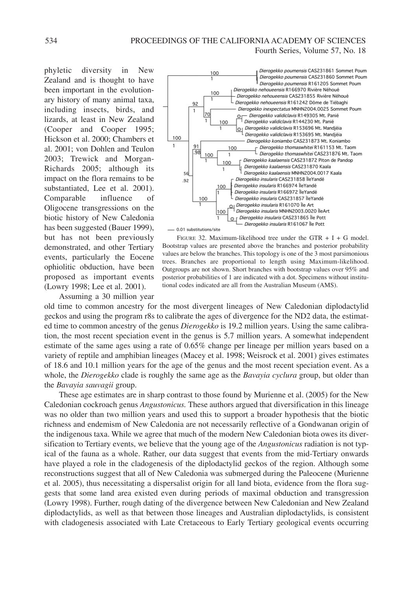phyletic diversity in New Zealand and is thought to have been important in the evolutionary history of many animal taxa, including insects, birds, and lizards, at least in New Zealand (Cooper and Cooper 1995; Hickson et al. 2000; Chambers et al. 2001; von Dohlen and Teulon 2003; Trewick and Morgan-Richards 2005; although its impact on the flora remains to be substantiated, Lee et al. 2001). Comparable influence of Oligocene transgressions on the biotic history of New Caledonia has been suggested (Bauer 1999), but has not been previously demonstrated, and other Tertiary events, particularly the Eocene ophiolitic obduction, have been proposed as important events (Lowry 1998; Lee et al. 2001).

Assuming a 30 million year



FIGURE 32. Maximum-likelihood tree under the GTR  $+ I + G$  model. Bootstrap values are presented above the branches and posterior probability values are below the branches. This topology is one of the 3 most parsimonious trees. Branches are proportional to length using Maximum-likelihood. Outgroups are not shown. Short branches with bootstrap values over 95% and posterior probabilities of 1 are indicated with a dot. Specimens without institutional codes indicated are all from the Australian Museum (AMS).

old time to common ancestry for the most divergent lineages of New Caledonian diplodactylid geckos and using the program r8s to calibrate the ages of divergence for the ND2 data, the estimated time to common ancestry of the genus *Dierogekko* is 19.2 million years. Using the same calibration, the most recent speciation event in the genus is 5.7 million years. A somewhat independent estimate of the same ages using a rate of 0.65% change per lineage per million years based on a variety of reptile and amphibian lineages (Macey et al. 1998; Weisrock et al. 2001) gives estimates of 18.6 and 10.1 million years for the age of the genus and the most recent speciation event. As a whole, the *Dierogekko* clade is roughly the same age as the *Bavayia cyclura* group, but older than the *Bavayia sauvagii* group.

These age estimates are in sharp contrast to those found by Murienne et al. (2005) for the New Caledonian cockroach genus *Angustonicus.* These authors argued that diversification in this lineage was no older than two million years and used this to support a broader hypothesis that the biotic richness and endemism of New Caledonia are not necessarily reflective of a Gondwanan origin of the indigenous taxa. While we agree that much of the modern New Caledonian biota owes its diversification to Tertiary events, we believe that the young age of the *Angustonicus* radiation is not typical of the fauna as a whole. Rather, our data suggest that events from the mid-Tertiary onwards have played a role in the cladogenesis of the diplodactylid geckos of the region. Although some reconstructions suggest that all of New Caledonia was submerged during the Paleocene (Murienne et al. 2005), thus necessitating a dispersalist origin for all land biota, evidence from the flora suggests that some land area existed even during periods of maximal obduction and transgression (Lowry 1998). Further, rough dating of the divergence between New Caledonian and New Zealand diplodactylids, as well as that between those lineages and Australian diplodactylids, is consistent with cladogenesis associated with Late Cretaceous to Early Tertiary geological events occurring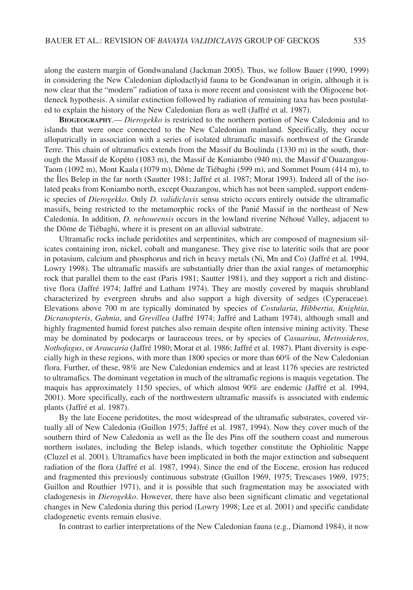along the eastern margin of Gondwanaland (Jackman 2005). Thus, we follow Bauer (1990, 1999) in considering the New Caledonian diplodactlyid fauna to be Gondwanan in origin, although it is now clear that the "modern" radiation of taxa is more recent and consistent with the Oligocene bottleneck hypothesis. A similar extinction followed by radiation of remaining taxa has been postulated to explain the history of the New Caledonian flora as well (Jaffré et al. 1987).

**BIOGEOGRAPHY**.— *Dierogekko* is restricted to the northern portion of New Caledonia and to islands that were once connected to the New Caledonian mainland. Specifically, they occur allopatrically in association with a series of isolated ultramafic massifs northwest of the Grande Terre. This chain of ultramafics extends from the Massif du Boulinda (1330 m) in the south, thorough the Massif de Kopéto (1083 m), the Massif de Koniambo (940 m), the Massif d'Ouazangou-Taom (1092 m), Mont Kaala (1079 m), Dôme de Tiébaghi (599 m), and Sommet Poum (414 m), to the Îles Belep in the far north (Sautter 1981; Jaffré et al. 1987; Morat 1993). Indeed all of the isolated peaks from Koniambo north, except Ouazangou, which has not been sampled, support endemic species of *Dierogekko*. Only *D. validiclavis* sensu stricto occurs entirely outside the ultramafic massifs, being restricted to the metamorphic rocks of the Panié Massif in the northeast of New Caledonia. In addition, *D. nehoueensis* occurs in the lowland riverine Néhoué Valley, adjacent to the Dôme de Tiébaghi, where it is present on an alluvial substrate.

Ultramafic rocks include peridotites and serpentinites, which are composed of magnesium silicates containing iron, nickel, cobalt and manganese. They give rise to lateritic soils that are poor in potasium, calcium and phosphorus and rich in heavy metals (Ni, Mn and Co) (Jaffré et al. 1994, Lowry 1998). The ultramafic massifs are substantially drier than the axial ranges of metamorphic rock that parallel them to the east (Paris 1981; Sautter 1981), and they support a rich and distinctive flora (Jaffré 1974; Jaffré and Latham 1974). They are mostly covered by maquis shrubland characterized by evergreen shrubs and also support a high diversity of sedges (Cyperaceae). Elevations above 700 m are typically dominated by species of *Costularia*, *Hibbertia*, *Knightia*, *Dicranopteris*, *Gahnia*, and *Grevillea* (Jaffré 1974; Jaffré and Latham 1974), although small and highly fragmented humid forest patches also remain despite often intensive mining activity. These may be dominated by podocarps or lauraceous trees, or by species of *Casuarina*, *Metrosideros*, *Nothofagus*, or *Araucaria* (Jaffré 1980; Morat et al. 1986; Jaffré et al. 1987). Plant diversity is especially high in these regions, with more than 1800 species or more than 60% of the New Caledonian flora. Further, of these, 98% are New Caledonian endemics and at least 1176 species are restricted to ultramafics. The dominant vegetation in much of the ultramafic regions is maquis vegetation. The maquis has approximately 1150 species, of which almost 90% are endemic (Jaffré et al. 1994, 2001). More specifically, each of the northwestern ultramafic massifs is associated with endemic plants (Jaffré et al. 1987).

By the late Eocene peridotites, the most widespread of the ultramafic substrates, covered virtually all of New Caledonia (Guillon 1975; Jaffré et al. 1987, 1994). Now they cover much of the southern third of New Caledonia as well as the Île des Pins off the southern coast and numerous northern isolates, including the Belep islands, which together constitute the Ophiolitic Nappe (Cluzel et al. 2001). Ultramafics have been implicated in both the major extinction and subsequent radiation of the flora (Jaffré et al. 1987, 1994). Since the end of the Eocene, erosion has reduced and fragmented this previously continuous substrate (Guillon 1969, 1975; Trescases 1969, 1975; Guillon and Routhier 1971), and it is possible that such fragmentation may be associated with cladogenesis in *Dierogekko*. However, there have also been significant climatic and vegetational changes in New Caledonia during this period (Lowry 1998; Lee et al. 2001) and specific candidate cladogenetic events remain elusive.

In contrast to earlier interpretations of the New Caledonian fauna (e.g., Diamond 1984), it now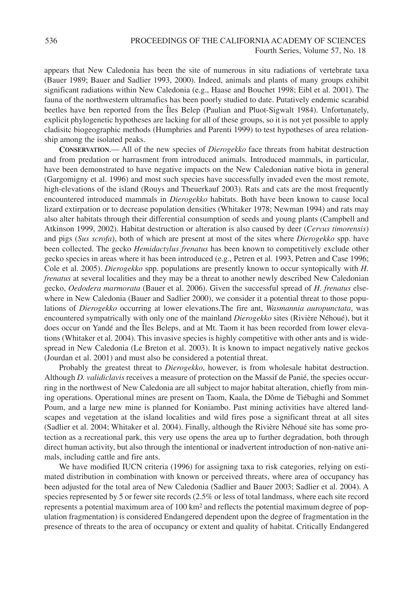appears that New Caledonia has been the site of numerous in situ radiations of vertebrate taxa (Bauer 1989; Bauer and Sadlier 1993, 2000). Indeed, animals and plants of many groups exhibit significant radiations within New Caledonia (e.g., Haase and Bouchet 1998; Eibl et al. 2001). The fauna of the northwestern ultramafics has been poorly studied to date. Putatively endemic scarabid beetles have ben reported from the Îles Belep (Paulian and Pluot-Sigwalt 1984). Unfortunately, explicit phylogenetic hypotheses are lacking for all of these groups, so it is not yet possible to apply cladisitc biogeographic methods (Humphries and Parenti 1999) to test hypotheses of area relationship among the isolated peaks.

**CONSERVATION**.— All of the new species of *Dierogekko* face threats from habitat destruction and from predation or harrasment from introduced animals. Introduced mammals, in particular, have been demonstrated to have negative impacts on the New Caledonian native biota in general (Gargomigny et al. 1996) and most such species have successfully invaded even the most remote, high-elevations of the island (Rouys and Theuerkauf 2003). Rats and cats are the most frequently encountered introduced mammals in *Dierogekko* habitats. Both have been known to cause local lizard extirpation or to decrease population densities (Whitaker 1978; Newman 1994) and rats may also alter habitats through their differential consumption of seeds and young plants (Campbell and Atkinson 1999, 2002). Habitat destruction or alteration is also caused by deer (*Cervus timorensis*) and pigs (*Sus scrofa*), both of which are present at most of the sites where *Dierogekko* spp. have been collected. The gecko *Hemidactylus frenatus* has been known to competitively exclude other gecko species in areas where it has been introduced (e.g., Petren et al. 1993, Petren and Case 1996; Cole et al. 2005). *Dierogekko* spp. populations are presently known to occur syntopically with *H. frenatus* at several localities and they may be a threat to another newly described New Caledonian gecko, *Oedodera marmorata* (Bauer et al. 2006). Given the successful spread of *H. frenatus* elsewhere in New Caledonia (Bauer and Sadlier 2000), we consider it a potential threat to those populations of *Dierogekko* occurring at lower elevations.The fire ant, *Wasmannia auropunctata*, was encountered sympatrically with only one of the mainland *Dierogekko* sites (Rivière Néhoué), but it does occur on Yandé and the Îles Beleps, and at Mt. Taom it has been recorded from lower elevations (Whitaker et al. 2004). This invasive species is highly competitive with other ants and is widespread in New Caledonia (Le Breton et al. 2003). It is known to impact negatively native geckos (Jourdan et al. 2001) and must also be considered a potential threat.

Probably the greatest threat to *Dierogekko*, however, is from wholesale habitat destruction. Although *D. validiclavis* receives a measure of protection on the Massif de Panié, the species occurring in the northwest of New Caledonia are all subject to major habitat alteration, chiefly from mining operations. Operational mines are present on Taom, Kaala, the Dôme de Tiébaghi and Sommet Poum, and a large new mine is planned for Koniambo. Past mining activities have altered landscapes and vegetation at the island localities and wild fires pose a significant threat at all sites (Sadlier et al. 2004; Whitaker et al. 2004). Finally, although the Rivière Néhoué site has some protection as a recreational park, this very use opens the area up to further degradation, both through direct human activity, but also through the intentional or inadvertent introduction of non-native animals, including cattle and fire ants.

We have modified IUCN criteria (1996) for assigning taxa to risk categories, relying on estimated distribution in combination with known or perceived threats, where area of occupancy has been adjusted for the total area of New Caledonia (Sadlier and Bauer 2003; Sadlier et al. 2004). A species represented by 5 or fewer site records (2.5% or less of total landmass, where each site record represents a potential maximum area of 100 km<sup>2</sup> and reflects the potential maximum degree of population fragmentation) is considered Endangered dependent upon the degree of fragmentation in the presence of threats to the area of occupancy or extent and quality of habitat. Critically Endangered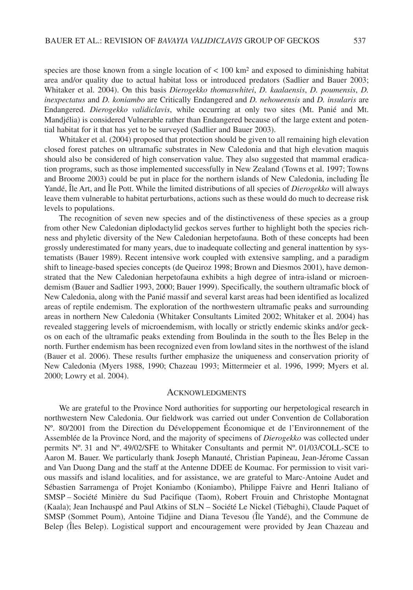species are those known from a single location of  $< 100 \text{ km}^2$  and exposed to diminishing habitat area and/or quality due to actual habitat loss or introduced predators (Sadlier and Bauer 2003; Whitaker et al. 2004). On this basis *Dierogekko thomaswhitei*, *D. kaalaensis*, *D. poumensis*, *D. inexpectatus* and *D. koniambo* are Critically Endangered and *D. nehoueensis* and *D. insularis* are Endangered. *Dierogekko validiclavis*, while occurring at only two sites (Mt. Panié and Mt. Mandjélia) is considered Vulnerable rather than Endangered because of the large extent and potential habitat for it that has yet to be surveyed (Sadlier and Bauer 2003).

Whitaker et al. (2004) proposed that protection should be given to all remaining high elevation closed forest patches on ultramafic substrates in New Caledonia and that high elevation maquis should also be considered of high conservation value. They also suggested that mammal eradication programs, such as those implemented successfully in New Zealand (Towns et al. 1997; Towns and Broome 2003) could be put in place for the northern islands of New Caledonia, including Île Yandé, Île Art, and Île Pott. While the limited distributions of all species of *Dierogekko* will always leave them vulnerable to habitat perturbations, actions such as these would do much to decrease risk levels to populations.

The recognition of seven new species and of the distinctiveness of these species as a group from other New Caledonian diplodactylid geckos serves further to highlight both the species richness and phyletic diversity of the New Caledonian herpetofauna. Both of these concepts had been grossly underestimated for many years, due to inadequate collecting and general inattention by systematists (Bauer 1989). Recent intensive work coupled with extensive sampling, and a paradigm shift to lineage-based species concepts (de Queiroz 1998; Brown and Diesmos 2001), have demonstrated that the New Caledonian herpetofauna exhibits a high degree of intra-island or microendemism (Bauer and Sadlier 1993, 2000; Bauer 1999). Specifically, the southern ultramafic block of New Caledonia, along with the Panié massif and several karst areas had been identified as localized areas of reptile endemism. The exploration of the northwestern ultramafic peaks and surrounding areas in northern New Caledonia (Whitaker Consultants Limited 2002; Whitaker et al. 2004) has revealed staggering levels of microendemism, with locally or strictly endemic skinks and/or geckos on each of the ultramafic peaks extending from Boulinda in the south to the Îles Belep in the north. Further endemism has been recognized even from lowland sites in the northwest of the island (Bauer et al. 2006). These results further emphasize the uniqueness and conservation priority of New Caledonia (Myers 1988, 1990; Chazeau 1993; Mittermeier et al. 1996, 1999; Myers et al. 2000; Lowry et al. 2004).

#### **ACKNOWLEDGMENTS**

We are grateful to the Province Nord authorities for supporting our herpetological research in northwestern New Caledonia. Our fieldwork was carried out under Convention de Collaboration Nº. 80/2001 from the Direction du Développement Économique et de l'Environnement of the Assemblée de la Province Nord, and the majority of specimens of *Dierogekko* was collected under permits Nº. 31 and Nº. 49/02/SFE to Whitaker Consultants and permit Nº. 01/03/COLL-SCE to Aaron M. Bauer. We particularly thank Joseph Manauté, Christian Papineau, Jean-Jérome Cassan and Van Duong Dang and the staff at the Antenne DDEE de Koumac. For permission to visit various massifs and island localities, and for assistance, we are grateful to Marc-Antoine Audet and Sébastien Sarramenga of Projet Koniambo (Koniambo), Philippe Faivre and Henri Italiano of SMSP – Société Minière du Sud Pacifique (Taom), Robert Frouin and Christophe Montagnat (Kaala); Jean Inchauspé and Paul Atkins of SLN – Société Le Nickel (Tiébaghi), Claude Paquet of SMSP (Sommet Poum), Antoine Tidjine and Diana Tevesou (Île Yandé), and the Commune de Belep (Îles Belep). Logistical support and encouragement were provided by Jean Chazeau and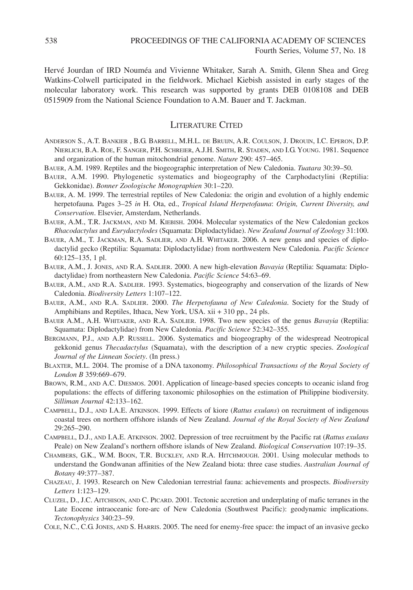Hervé Jourdan of IRD Nouméa and Vivienne Whitaker, Sarah A. Smith, Glenn Shea and Greg Watkins-Colwell participated in the fieldwork. Michael Kiebish assisted in early stages of the molecular laboratory work. This research was supported by grants DEB 0108108 and DEB 0515909 from the National Science Foundation to A.M. Bauer and T. Jackman.

# LITERATURE CITED

- ANDERSON S., A.T. BANKIER , B.G. BARRELL, M.H.L. DE BRUIJN, A.R. COULSON, J. DROUIN, I.C. EPERON, D.P. NIERLICH, B.A. ROE, F. SANGER, P.H. SCHREIER, A.J.H. SMITH, R. STADEN, AND I.G. YOUNG. 1981. Sequence and organization of the human mitochondrial genome. *Nature* 290: 457–465.
- BAUER, A.M. 1989. Reptiles and the biogeographic interpretation of New Caledonia. *Tuatara* 30:39–50.
- BAUER, A.M. 1990. Phylogenetic systematics and biogeography of the Carphodactylini (Reptilia: Gekkonidae). *Bonner Zoologische Monographien* 30:1–220.
- BAUER, A. M. 1999. The terrestrial reptiles of New Caledonia: the origin and evolution of a highly endemic herpetofauna*.* Pages 3–25 *in* H. Ota, ed., *Tropical Island Herpetofauna*: *Origin, Current Diversity, and Conservation*. Elsevier, Amsterdam, Netherlands.
- BAUER, A.M., T.R. JACKMAN, AND M. KIEBISH. 2004. Molecular systematics of the New Caledonian geckos *Rhacodactylus* and *Eurydactylodes* (Squamata: Diplodactylidae). *New Zealand Journal of Zoology* 31:100.
- BAUER, A.M., T. JACKMAN, R.A. SADLIER, AND A.H. WHITAKER. 2006. A new genus and species of diplodactylid gecko (Reptilia: Squamata: Diplodactylidae) from northwestern New Caledonia. *Pacific Science* 60:125–135, 1 pl.
- BAUER, A.M., J. JONES, AND R.A. SADLIER. 2000. A new high-elevation *Bavayia* (Reptilia: Squamata: Diplodactylidae) from northeastern New Caledonia. *Pacific Science* 54:63–69.
- BAUER, A.M., AND R.A. SADLIER. 1993. Systematics, biogeography and conservation of the lizards of New Caledonia. *Biodiversity Letters* 1:107–122.
- BAUER, A.M., AND R.A. SADLIER. 2000. *The Herpetofauna of New Caledonia*. Society for the Study of Amphibians and Reptiles, Ithaca, New York, USA. xii + 310 pp., 24 pls.
- BAUER A.M., A.H. WHITAKER, AND R.A. SADLIER. 1998. Two new species of the genus *Bavayia* (Reptilia: Squamata: Diplodactylidae) from New Caledonia. *Pacific Science* 52:342–355.
- BERGMANN, P.J., AND A.P. RUSSELL. 2006. Systematics and biogeography of the widespread Neotropical gekkonid genus *Thecadactylus* (Squamata), with the description of a new cryptic species. *Zoological Journal of the Linnean Society*. (In press.)
- BLAXTER, M.L. 2004. The promise of a DNA taxonomy. *Philosophical Transactions of the Royal Society of London B* 359:669–679.
- BROWN, R.M., AND A.C. DIESMOS. 2001. Application of lineage-based species concepts to oceanic island frog populations: the effects of differing taxonomic philosophies on the estimation of Philippine biodiversity. *Silliman Journal* 42:133–162.
- CAMPBELL, D.J., AND I.A.E. ATKINSON. 1999. Effects of kiore (*Rattus exulans*) on recruitment of indigenous coastal trees on northern offshore islands of New Zealand. *Journal of the Royal Society of New Zealand* 29:265–290.
- CAMPBELL, D.J., AND I.A.E. ATKINSON. 2002. Depression of tree recruitment by the Pacific rat (*Rattus exulans* Peale) on New Zealand's northern offshore islands of New Zealand. *Biological Conservation* 107:19–35.
- CHAMBERS, G.K., W.M. BOON, T.R. BUCKLEY, AND R.A. HITCHMOUGH. 2001. Using molecular methods to understand the Gondwanan affinities of the New Zealand biota: three case studies. *Australian Journal of Botany* 49:377–387.
- CHAZEAU, J. 1993. Research on New Caledonian terrestrial fauna: achievements and prospects. *Biodiversity Letters* 1:123–129.
- CLUZEL, D., J.C. AITCHISON, AND C. PICARD. 2001. Tectonic accretion and underplating of mafic terranes in the Late Eocene intraoceanic fore-arc of New Caledonia (Southwest Pacific): geodynamic implications. *Tectonophysics* 340:23–59.
- COLE, N.C., C.G. JONES, AND S. HARRIS. 2005. The need for enemy-free space: the impact of an invasive gecko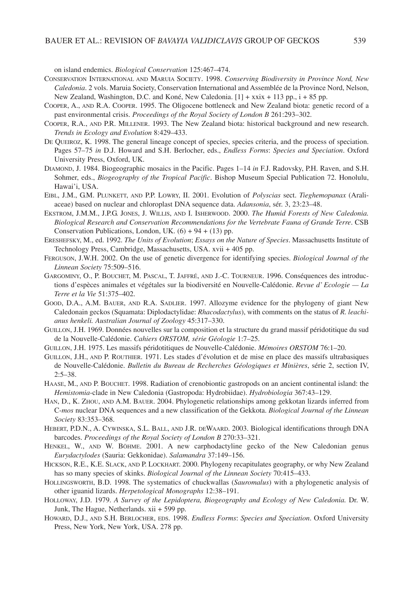on island endemics. *Biological Conservation* 125:467–474.

- CONSERVATION INTERNATIONAL AND MARUIA SOCIETY. 1998. *Conserving Biodiversity in Province Nord, New Caledonia*. 2 vols. Maruia Society, Conservation International and Assemblée de la Province Nord, Nelson, New Zealand, Washington, D.C. and Koné, New Caledonia. [1] + xxix + 113 pp., i + 85 pp.
- COOPER, A., AND R.A. COOPER. 1995. The Oligocene bottleneck and New Zealand biota: genetic record of a past environmental crisis. *Proceedings of the Royal Society of London B* 261:293–302.
- COOPER, R.A., AND P.R. MILLENER. 1993. The New Zealand biota: historical background and new research. *Trends in Ecology and Evolution* 8:429–433.
- DE QUEIROZ, K. 1998. The general lineage concept of species, species criteria, and the process of speciation. Pages 57–75 *in* D.J. Howard and S.H. Berlocher, eds., *Endless Forms*: *Species and Speciation*. Oxford University Press, Oxford, UK.
- DIAMOND, J. 1984. Biogeographic mosaics in the Pacific. Pages 1–14 *in* F.J. Radovsky, P.H. Raven, and S.H. Sohmer, eds., *Biogeography of the Tropical Pacific*. Bishop Museum Special Publication 72. Honolulu, Hawai'i, USA.
- EIBL, J.M., G.M. PLUNKETT, AND P.P. LOWRY, II. 2001. Evolution of *Polyscias* sect. *Tieghemopanax* (Araliaceae) based on nuclear and chloroplast DNA sequence data. *Adansonia*, sér. 3, 23:23–48.
- EKSTROM, J.M.M., J.P.G. JONES, J. WILLIS, AND I. ISHERWOOD. 2000. *The Humid Forests of New Caledonia. Biological Research and Conservation Recommendations for the Vertebrate Fauna of Grande Terre*. CSB Conservation Publications, London, UK.  $(6) + 94 + (13)$  pp.
- ERESHEFSKY, M., ed. 1992. *The Units of Evolution*; *Essays on the Nature of Species*. Massachusetts Institute of Technology Press, Cambridge, Massachusetts, USA. xvii + 405 pp.
- FERGUSON, J.W.H. 2002. On the use of genetic divergence for identifying species. *Biological Journal of the Linnean Society* 75:509–516.
- GARGOMINY, O., P. BOUCHET, M. PASCAL, T. JAFFRÉ, AND J.-C. TOURNEUR. 1996. Conséquences des introductions d'espèces animales et végétales sur la biodiversité en Nouvelle-Calédonie. *Revue d' Ecologie — La Terre et la Vie* 51:375–402.
- GOOD, D.A., A.M. BAUER, AND R.A. SADLIER. 1997. Allozyme evidence for the phylogeny of giant New Caledonain geckos (Squamata: Diplodactylidae: *Rhacodactylus*), with comments on the status of *R. leachianus henkeli. Australian Journal of Zoology* 45:317–330.
- GUILLON, J.H. 1969. Données nouvelles sur la composition et la structure du grand massif péridotitique du sud de la Nouvelle-Calédonie. *Cahiers ORSTOM, série Géologie* 1:7–25.
- GUILLON, J.H. 1975. Les massifs péridotitiques de Nouvelle-Calédonie. *Mémoires ORSTOM* 76:1–20.
- GUILLON, J.H., AND P. ROUTHIER. 1971. Les stades d'évolution et de mise en place des massifs ultrabasiques de Nouvelle-Calédonie. *Bulletin du Bureau de Recherches Géologiques et Minières*, série 2, section IV,  $2:5-38.$
- HAASE, M., AND P. BOUCHET. 1998. Radiation of crenobiontic gastropods on an ancient continental island: the *Hemistomia*-clade in New Caledonia (Gastropoda: Hydrobiidae). *Hydrobiologia* 367:43–129.
- HAN, D., K. ZHOU, AND A.M. BAUER. 2004. Phylogenetic relationships among gekkotan lizards inferred from C-*mos* nuclear DNA sequences and a new classification of the Gekkota. *Biological Journal of the Linnean Society* 83:353–368.
- HEBERT, P.D.N., A. CYWINSKA, S.L. BALL, AND J.R. DEWAARD. 2003. Biological identifications through DNA barcodes. *Proceedings of the Royal Society of London B* 270:33–321.
- HENKEL, W., AND W. BÖHME. 2001. A new carphodactyline gecko of the New Caledonian genus *Eurydactylodes* (Sauria: Gekkonidae). *Salamandra* 37:149–156.
- HICKSON, R.E., K.E. SLACK, AND P. LOCKHART. 2000. Phylogeny recapitulates geography, or why New Zealand has so many species of skinks. *Biological Journal of the Linnean Society* 70:415–433.
- HOLLINGSWORTH, B.D. 1998. The systematics of chuckwallas (*Sauromalus*) with a phylogenetic analysis of other iguanid lizards. *Herpetological Monographs* 12:38–191.
- HOLLOWAY, J.D. 1979. *A Survey of the Lepidoptera, Biogeography and Ecology of New Caledonia.* Dr. W. Junk, The Hague, Netherlands. xii + 599 pp.
- HOWARD, D.J., AND S.H. BERLOCHER, EDS. 1998. *Endless Forms*: *Species and Speciation*. Oxford University Press, New York, New York, USA. 278 pp.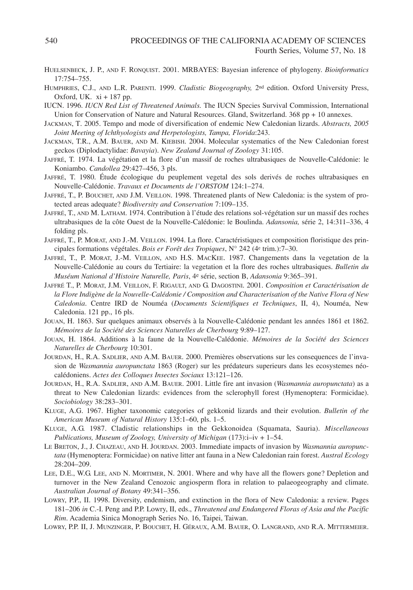- HUELSENBECK, J. P., AND F. RONQUIST. 2001. MRBAYES: Bayesian inference of phylogeny. *Bioinformatics* 17:754–755.
- HUMPHRIES, C.J., AND L.R. PARENTI. 1999. *Cladistic Biogeography,* 2nd edition. Oxford University Press, Oxford, UK. xi + 187 pp.
- IUCN. 1996. *IUCN Red List of Threatened Animals.* The IUCN Species Survival Commission, International Union for Conservation of Nature and Natural Resources. Gland, Switzerland. 368 pp + 10 annexes.
- JACKMAN, T. 2005. Tempo and mode of diversification of endemic New Caledonian lizards. *Abstracts, 2005 Joint Meeting of Ichthyologists and Herpetologists, Tampa, Florida*:243.
- JACKMAN, T.R., A.M. BAUER, AND M. KIEBISH. 2004. Molecular systematics of the New Caledonian forest geckos (Diplodactylidae: *Bavayia*). *New Zealand Journal of Zoology* 31:105.
- JAFFRÉ, T. 1974. La végétation et la flore d'un massif de roches ultrabasiques de Nouvelle-Calédonie: le Koniambo. *Candollea* 29:427–456, 3 pls.
- JAFFRÉ, T. 1980. Étude écologique du peuplement vegetal des sols derivés de roches ultrabasiques en Nouvelle-Calédonie. *Travaux et Documents de l'ORSTOM* 124:1–274.
- JAFFRÉ, T., P. BOUCHET, AND J.M. VEILLON. 1998. Threatened plants of New Caledonia: is the system of protected areas adequate? *Biodiversity and Conservation* 7:109–135.
- JAFFRÉ, T., AND M. LATHAM. 1974. Contribution à l'étude des relations sol-végétation sur un massif des roches ultrabasiques de la côte Ouest de la Nouvelle-Calédonie: le Boulinda. *Adansonia,* série 2, 14:311–336, 4 folding pls.
- JAFFRÉ, T., P. MORAT, AND J.-M. VEILLON. 1994. La flore. Caractéristiques et composition floristique des principales formations végétales. *Bois er Forêt des Tropiques*, N° 242 (4e trim.):7–30.
- JAFFRÉ, T., P. MORAT, J.-M. VEILLON, AND H.S. MACKEE. 1987. Changements dans la vegetation de la Nouvelle-Calédonie au cours du Tertiaire: la vegetation et la flore des roches ultrabasiques. *Bulletin du Muséum National d'Histoire Naturelle, Paris*, 4e série, section B, *Adansonia* 9:365–391.
- JAFFRÉ T., P. MORAT, J.M. VEILLON, F. RIGAULT, AND G. DAGOSTINI. 2001. *Composition et Caractérisation de la Flore Indigène de la Nouvelle-Calédonie / Composition and Characterisation of the Native Flora of New Caledonia*. Centre IRD de Nouméa (*Documents Scientifiques et Techniques*, II, 4), Nouméa, New Caledonia. 121 pp., 16 pls.
- JOUAN, H. 1863. Sur quelques animaux observés à la Nouvelle-Calédonie pendant les années 1861 et 1862. *Mémoires de la Société des Sciences Naturelles de Cherbourg* 9:89–127.
- JOUAN, H. 1864. Additions à la faune de la Nouvelle-Calédonie. *Mémoires de la Société des Sciences Naturelles de Cherbourg* 10:301.
- JOURDAN, H., R.A. SADLIER, AND A.M. BAUER. 2000. Premières observations sur les consequences de l'invasion de *Wasmannia auropunctata* 1863 (Roger) sur les prédateurs superieurs dans les ecosystemes néocalédoniens. *Actes des Colloques Insectes Sociaux* 13:121–126.
- JOURDAN, H., R.A. SADLIER, AND A.M. BAUER. 2001. Little fire ant invasion (*Wasmannia auropunctata*) as a threat to New Caledonian lizards: evidences from the sclerophyll forest (Hymenoptera: Formicidae). *Sociobiology* 38:283–301.
- KLUGE, A.G. 1967. Higher taxonomic categories of gekkonid lizards and their evolution. *Bulletin of the American Museum of Natural History* 135:1–60, pls. 1–5.
- KLUGE, A.G. 1987. Cladistic relationships in the Gekkonoidea (Squamata, Sauria). *Miscellaneous Publications, Museum of Zoology, University of Michigan* (173):i–iv + 1–54.
- LE BRETON, J., J. CHAZEAU, AND H. JOURDAN. 2003. Immediate impacts of invasion by *Wasmannia auropunctata* (Hymenoptera: Formicidae) on native litter ant fauna in a New Caledonian rain forest. *Austral Ecology* 28:204–209.
- LEE, D.E., W.G. LEE, AND N. MORTIMER, N. 2001. Where and why have all the flowers gone? Depletion and turnover in the New Zealand Cenozoic angiosperm flora in relation to palaeogeography and climate. *Australian Journal of Botany* 49:341–356.
- LOWRY, P.P., II. 1998. Diversity, endemism, and extinction in the flora of New Caledonia: a review. Pages 181–206 *in* C.-I. Peng and P.P. Lowry, II, eds., *Threatened and Endangered Floras of Asia and the Pacific Rim*. Academia Sinica Monograph Series No. 16, Taipei, Taiwan.
- LOWRY, P.P. II, J. MUNZINGER, P. BOUCHET, H. GÉRAUX, A.M. BAUER, O. LANGRAND, AND R.A. MITTERMEIER.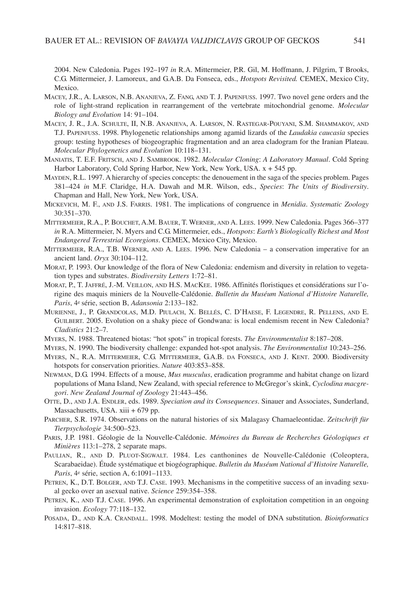2004. New Caledonia. Pages 192–197 *in* R.A. Mittermeier, P.R. Gil, M. Hoffmann, J. Pilgrim, T Brooks, C.G. Mittermeier, J. Lamoreux, and G.A.B. Da Fonseca, eds., *Hotspots Revisited.* CEMEX, Mexico City, Mexico.

- MACEY, J.R., A. LARSON, N.B. ANANJEVA, Z. FANG, AND T. J. PAPENFUSS. 1997. Two novel gene orders and the role of light-strand replication in rearrangement of the vertebrate mitochondrial genome. *Molecular Biology and Evolution* 14: 91–104.
- MACEY, J. R., J.A. SCHULTE, II, N.B. ANANJEVA, A. LARSON, N. RASTEGAR-POUYANI, S.M. SHAMMAKOV, AND T.J. PAPENFUSS. 1998. Phylogenetic relationships among agamid lizards of the *Laudakia caucasia* species group: testing hypotheses of biogeographic fragmentation and an area cladogram for the Iranian Plateau. *Molecular Phylogenetics and Evolution* 10:118–131.
- MANIATIS, T. E.F. FRITSCH, AND J. SAMBROOK. 1982. *Molecular Cloning*: *A Laboratory Manual*. Cold Spring Harbor Laboratory, Cold Spring Harbor, New York, New York, USA. x + 545 pp.
- MAYDEN, R.L. 1997. A hierarchy of species concepts: the denouement in the saga of the species problem. Pages 381–424 *in* M.F. Claridge, H.A. Dawah and M.R. Wilson, eds., *Species*: *The Units of Biodiversity*. Chapman and Hall, New York, New York, USA.
- MICKEVICH, M. F., AND J.S. FARRIS. 1981. The implications of congruence in *Menidia*. *Systematic Zoology* 30:351–370.
- MITTERMEIER, R.A., P. BOUCHET, A.M. BAUER, T. WERNER, AND A. LEES. 1999. New Caledonia. Pages 366–377 *in* R.A. Mittermeier, N. Myers and C.G. Mittermeier, eds., *Hotspots*: *Earth's Biologically Richest and Most Endangered Terrestrial Ecoregions*. CEMEX, Mexico City, Mexico.
- MITTERMEIER, R.A., T.B. WERNER, AND A. LEES. 1996. New Caledonia a conservation imperative for an ancient land. *Oryx* 30:104–112.
- MORAT, P. 1993. Our knowledge of the flora of New Caledonia: endemism and diversity in relation to vegetation types and substrates. *Biodiversity Letters* 1:72–81.
- MORAT, P., T. JAFFRÉ, J.-M. VEILLON, AND H.S. MACKEE. 1986. Affinités floristiques et considérations sur l'origine des maquis miniers de la Nouvelle-Calédonie. *Bulletin du Muséum National d'Histoire Naturelle, Paris*, 4e série, section B, *Adansonia* 2:133–182.
- MURIENNE, J., P. GRANDCOLAS, M.D. PIULACH, X. BELLÉS, C. D'HAESE, F. LEGENDRE, R. PELLENS, AND E. GUILBERT. 2005. Evolution on a shaky piece of Gondwana: is local endemism recent in New Caledonia? *Cladistics* 21:2–7.
- MYERS, N. 1988. Threatened biotas: "hot spots" in tropical forests. *The Environmentalist* 8:187–208.
- MYERS, N. 1990. The biodiversity challenge: expanded hot-spot analysis. *The Environmentalist* 10:243–256.
- MYERS, N., R.A. MITTERMEIER, C.G. MITTERMEIER, G.A.B. DA FONSECA, AND J. KENT. 2000. Biodiversity hotspots for conservation priorities. *Nature* 403:853–858.
- NEWMAN, D.G. 1994. Effects of a mouse, *Mus musculus*, eradication programme and habitat change on lizard populations of Mana Island, New Zealand, with special reference to McGregor's skink, *Cyclodina macgregori*. *New Zealand Journal of Zoology* 21:443–456.
- OTTE, D., AND J.A. ENDLER, eds. 1989. *Speciation and its Consequences*. Sinauer and Associates, Sunderland, Massachusetts, USA. xiii + 679 pp.
- PARCHER, S.R. 1974. Observations on the natural histories of six Malagasy Chamaeleontidae. *Zeitschrift für Tierpsychologie* 34:500–523.
- PARIS, J.P. 1981. Géologie de la Nouvelle-Calédonie. *Mémoires du Bureau de Recherches Géologiques et Minières* 113:1–278, 2 separate maps.
- PAULIAN, R., AND D. PLUOT-SIGWALT. 1984. Les canthonines de Nouvelle-Calédonie (Coleoptera, Scarabaeidae). Étude systématique et biogéographique. *Bulletin du Muséum National d'Histoire Naturelle, Paris*, 4e série, section A, 6:1091–1133.
- PETREN, K., D.T. BOLGER, AND T.J. CASE. 1993. Mechanisms in the competitive success of an invading sexual gecko over an asexual native. *Science* 259:354–358.
- PETREN, K., AND T.J. CASE. 1996. An experimental demonstration of exploitation competition in an ongoing invasion. *Ecology* 77:118–132.
- POSADA, D., AND K.A. CRANDALL. 1998. Modeltest: testing the model of DNA substitution. *Bioinformatics* 14:817–818.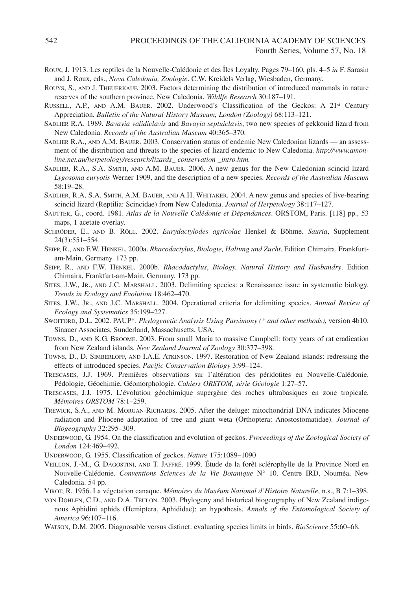- ROUX, J. 1913. Les reptiles de la Nouvelle-Calédonie et des Îles Loyalty. Pages 79–160, pls. 4–5 *in* F. Sarasin and J. Roux, eds., *Nova Caledonia, Zoologie*. C.W. Kreidels Verlag, Wiesbaden, Germany.
- ROUYS, S., AND J. THEUERKAUF. 2003. Factors determining the distribution of introduced mammals in nature reserves of the southern province, New Caledonia. *Wildlfe Research* 30:187–191.
- RUSSELL, A.P., AND A.M. BAUER. 2002. Underwood's Classification of the Geckos: A 21st Century Appreciation. *Bulletin of the Natural History Museum, London (Zoology)* 68:113–121.
- SADLIER R.A. 1989. *Bavayia validiclavis* and *Bavayia septuiclavis*, two new species of gekkonid lizard from New Caledonia. *Records of the Australian Museum* 40:365–370.
- SADLIER R.A., AND A.M. BAUER. 2003. Conservation status of endemic New Caledonian lizards an assessment of the distribution and threats to the species of lizard endemic to New Caledonia. *http*:*//www.amonline.net.au/herpetology/research/lizards\_ conservation \_intro.htm.*
- SADLIER, R.A., S.A. SMITH, AND A.M. BAUER. 2006. A new genus for the New Caledonian scincid lizard *Lygosoma euryotis* Werner 1909, and the description of a new species. *Records of the Australian Museum* 58:19–28.
- SADLIER, R.A, S.A. SMITH, A.M. BAUER, AND A.H. WHITAKER. 2004. A new genus and species of live-bearing scincid lizard (Reptilia: Scincidae) from New Caledonia. *Journal of Herpetology* 38:117–127.
- SAUTTER, G., coord. 1981. *Atlas de la Nouvelle Calédonie et Dépendances*. ORSTOM, Paris. [118] pp., 53 maps, 1 acetate overlay.
- SCHRÖDER, E., AND B. RÖLL. 2002. *Eurydactylodes agricolae* Henkel & Böhme. *Sauria*, Supplement 24(3):551–554.
- SEIPP, R., AND F.W. HENKEL. 2000a. *Rhacodactylus*, *Biologie, Haltung und Zucht*. Edition Chimaira, Frankfurtam-Main, Germany. 173 pp.
- SEIPP, R., AND F.W. HENKEL. 2000b. *Rhacodactylus*, *Biology, Natural History and Husbandry*. Edition Chimaira, Frankfurt-am-Main, Germany. 173 pp.
- SITES, J.W., JR., AND J.C. MARSHALL. 2003. Delimiting species: a Renaissance issue in systematic biology. *Trends in Ecology and Evolution* 18:462–470.
- SITES, J.W., JR., AND J.C. MARSHALL. 2004. Operational criteria for delimiting species. *Annual Review of Ecology and Systematics* 35:199–227.
- SWOFFORD, D.L. 2002. PAUP\*. *Phylogenetic Analysis Using Parsimony (\* and other methods)*, version 4b10. Sinauer Associates, Sunderland, Massachusetts, USA.
- TOWNS, D., AND K.G. BROOME. 2003. From small Maria to massive Campbell: forty years of rat eradication from New Zealand islands. *New Zealand Journal of Zoology* 30:377–398.
- TOWNS, D., D. SIMBERLOFF, AND I.A.E. ATKINSON. 1997. Restoration of New Zealand islands: redressing the effects of introduced species. *Pacific Conservation Biology* 3:99–124.
- TRESCASES, J.J. 1969. Premières observations sur l'altération des péridotites en Nouvelle-Calédonie. Pédologie, Géochimie, Géomorphologie. *Cahiers ORSTOM, série Géologie* 1:27–57.
- TRESCASES, J.J. 1975. L'évolution géochimique supergène des roches ultrabasiques en zone tropicale. *Mémoires ORSTOM* 78:1–259.
- TREWICK, S.A., AND M. MORGAN-RICHARDS. 2005. After the deluge: mitochondrial DNA indicates Miocene radiation and Pliocene adaptation of tree and giant weta (Orthoptera: Anostostomatidae). *Journal of Biogeography* 32:295–309.
- UNDERWOOD, G. 1954. On the classification and evolution of geckos. *Proceedings of the Zoological Society of London* 124:469–492.
- UNDERWOOD, G. 1955. Classification of geckos. *Nature* 175:1089–1090
- VEILLON, J.-M., G. DAGOSTINI, AND T. JAFFRÉ. 1999. Étude de la forêt sclérophylle de la Province Nord en Nouvelle-Calédonie. *Conventions Sciences de la Vie Botanique* N° 10. Centre IRD, Nouméa, New Caledonia. 54 pp.
- VIROT, R. 1956. La végetation canaque. *Mémoires du Muséum National d'Histoire Naturelle*, n.s., B 7:1–398.
- VON DOHLEN, C.D., AND D.A. TEULON. 2003. Phylogeny and historical biogeography of New Zealand indigenous Aphidini aphids (Hemiptera, Aphididae): an hypothesis. *Annals of the Entomological Society of America* 96:107–116.
- WATSON, D.M. 2005. Diagnosable versus distinct: evaluating species limits in birds. *BioScience* 55:60–68.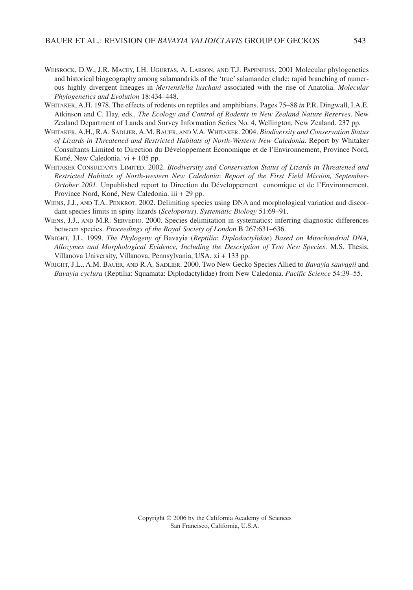- WEISROCK, D.W., J.R. MACEY, I.H. UGURTAS, A. LARSON, AND T.J. PAPENFUSS. 2001 Molecular phylogenetics and historical biogeography among salamandrids of the 'true' salamander clade: rapid branching of numerous highly divergent lineages in *Mertensiella luschani* associated with the rise of Anatolia. *Molecular Phylogenetics and Evolution* 18:434–448.
- WHITAKER, A.H. 1978. The effects of rodents on reptiles and amphibians. Pages 75–88 *in* P.R. Dingwall, I.A.E. Atkinson and C. Hay, eds., *The Ecology and Control of Rodents in New Zealand Nature Reserves*. New Zealand Department of Lands and Survey Information Series No. 4, Wellington, New Zealand. 237 pp.
- WHITAKER, A.H., R.A. SADLIER, A.M. BAUER, AND V.A. WHITAKER. 2004. *Biodiversity and Conservation Status of Lizards in Threatened and Restricted Habitats of North-Western New Caledonia.* Report by Whitaker Consultants Limited to Direction du Développement Économique et de l'Environnement, Province Nord, Koné, New Caledonia. vi + 105 pp.
- WHITAKER CONSULTANTS LIMITED. 2002. *Biodiversity and Conservation Status of Lizards in Threatened and Restricted Habitats of North-western New Caledonia*: *Report of the First Field Mission, September-October 2001*. Unpublished report to Direction du Développement conomique et de l'Environnement, Province Nord, Koné, New Caledonia. iii + 29 pp.
- WIENS, J.J., AND T.A. PENKROT. 2002. Delimiting species using DNA and morphological variation and discordant species limits in spiny lizards (*Sceloporus*). *Systematic Biology* 51:69–91.
- WIENS, J.J., AND M.R. SERVEDIO. 2000. Species delimitation in systematics: inferring diagnostic differences between species. *Proceedings of the Royal Society of London* B 267:631–636.
- WRIGHT, J.L. 1999. *The Phylogeny of* Bavayia (*Reptilia*: *Diplodactylidae*) *Based on Mitochondrial DNA, Allozymes and Morphological Evidence, Including the Description of Two New Species*. M.S. Thesis, Villanova University, Villanova, Pennsylvania, USA. xi + 133 pp.
- WRIGHT, J.L., A.M. BAUER, AND R.A. SADLIER. 2000. Two New Gecko Species Allied to *Bavayia sauvagii* and *Bavayia cyclura* (Reptilia: Squamata: Diplodactylidae) from New Caledonia. *Pacific Science* 54:39–55.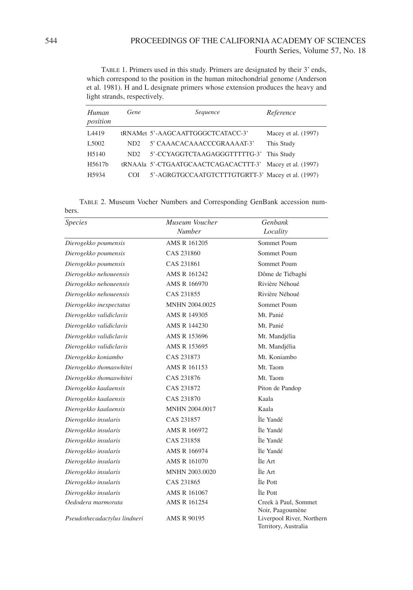TABLE 1. Primers used in this study. Primers are designated by their 3' ends, which correspond to the position in the human mitochondrial genome (Anderson et al. 1981). H and L designate primers whose extension produces the heavy and light strands, respectively.

| Human<br>position  | Gene            | Sequence                                          | Reference           |
|--------------------|-----------------|---------------------------------------------------|---------------------|
| L4419              |                 | tRNAMet 5'-AAGCAATTGGGCTCATACC-3'                 | Macey et al. (1997) |
| L <sub>5002</sub>  | ND <sub>2</sub> | 5' CAAACACAAACCCGRAAAAT-3'                        | This Study          |
| H <sub>5</sub> 140 | ND <sub>2</sub> | 5'-CCYAGGTCTAAGAGGGTTTTTG-3'                      | This Study          |
| H5617b             |                 | tRNAAla 5'-CTGAATGCAACTCAGACACTTT-3'              | Macey et al. (1997) |
| H5934              | COL             | 5'-AGRGTGCCAATGTCTTTGTGRTT-3' Macey et al. (1997) |                     |

TABLE 2. Museum Vocher Numbers and Corresponding GenBank accession num-

| bers.                        |                                 |                                                   |
|------------------------------|---------------------------------|---------------------------------------------------|
| <b>Species</b>               | Museum Voucher<br><b>Number</b> | Genbank<br>Locality                               |
| Dierogekko poumensis         | AMS R 161205                    | Sommet Poum                                       |
| Dierogekko poumensis         | CAS 231860                      | Sommet Poum                                       |
| Dierogekko poumensis         | CAS 231861                      | Sommet Poum                                       |
| Dierogekko nehoueensis       | AMS R 161242                    | Dôme de Tiébaghi                                  |
| Dierogekko nehoueensis       | AMS R 166970                    | Rivière Néhoué                                    |
| Dierogekko nehoueensis       | CAS 231855                      | Rivière Néhoué                                    |
| Dierogekko inexpectatus      | MNHN 2004.0025                  | Sommet Poum                                       |
| Dierogekko validiclavis      | AMS R 149305                    | Mt. Panié                                         |
| Dierogekko validiclavis      | AMS R 144230                    | Mt. Panié                                         |
| Dierogekko validiclavis      | AMS R 153696                    | Mt. Mandjélia                                     |
| Dierogekko validiclavis      | AMS R 153695                    | Mt. Mandjélia                                     |
| Dierogekko koniambo          | CAS 231873                      | Mt. Koniambo                                      |
| Dierogekko thomaswhitei      | AMS R 161153                    | Mt. Taom                                          |
| Dierogekko thomaswhitei      | CAS 231876                      | Mt. Taom                                          |
| Dierogekko kaalaensis        | CAS 231872                      | Piton de Pandop                                   |
| Dierogekko kaalaensis        | CAS 231870                      | Kaala                                             |
| Dierogekko kaalaensis        | <b>MNHN 2004.0017</b>           | Kaala                                             |
| Dierogekko insularis         | CAS 231857                      | Île Yandé                                         |
| Dierogekko insularis         | AMS R 166972                    | Île Yandé                                         |
| Dierogekko insularis         | CAS 231858                      | Île Yandé                                         |
| Dierogekko insularis         | AMS R 166974                    | Île Yandé                                         |
| Dierogekko insularis         | AMS R 161070                    | Île Art                                           |
| Dierogekko insularis         | <b>MNHN 2003.0020</b>           | Île Art                                           |
| Dierogekko insularis         | CAS 231865                      | Île Pott                                          |
| Dierogekko insularis         | AMS R 161067                    | Île Pott                                          |
| Oedodera marmorata           | AMS R 161254                    | Creek à Paul, Sommet<br>Noir, Paagoumène          |
| Pseudothecadactylus lindneri | AMS R 90195                     | Liverpool River, Northern<br>Territory, Australia |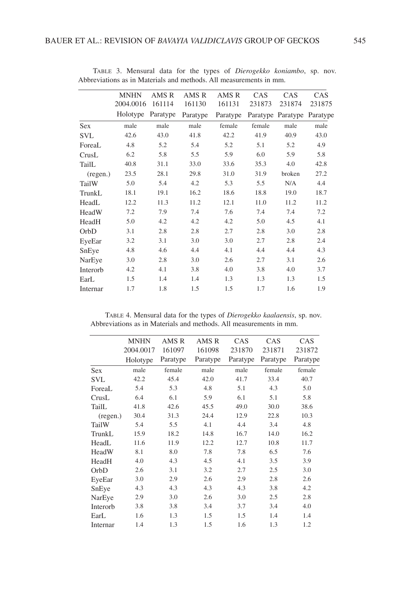|            | <b>MNHN</b> | AMS R    | AMS R    | AMS R    | CAS    | CAS               | CAS      |
|------------|-------------|----------|----------|----------|--------|-------------------|----------|
|            | 2004.0016   | 161114   | 161130   | 161131   | 231873 | 231874            | 231875   |
|            | Holotype    | Paratype | Paratype | Paratype |        | Paratype Paratype | Paratype |
| <b>Sex</b> | male        | male     | male     | female   | female | male              | male     |
| <b>SVL</b> | 42.6        | 43.0     | 41.8     | 42.2     | 41.9   | 40.9              | 43.0     |
| ForeaL     | 4.8         | 5.2      | 5.4      | 5.2      | 5.1    | 5.2               | 4.9      |
| CrusL      | 6.2         | 5.8      | 5.5      | 5.9      | 6.0    | 5.9               | 5.8      |
| TailL      | 40.8        | 31.1     | 33.0     | 33.6     | 35.3   | 4.0               | 42.8     |
| (regen.)   | 23.5        | 28.1     | 29.8     | 31.0     | 31.9   | broken            | 27.2     |
| TailW      | 5.0         | 5.4      | 4.2      | 5.3      | 5.5    | N/A               | 4.4      |
| TrunkL     | 18.1        | 19.1     | 16.2     | 18.6     | 18.8   | 19.0              | 18.7     |
| HeadL      | 12.2        | 11.3     | 11.2     | 12.1     | 11.0   | 11.2              | 11.2     |
| HeadW      | 7.2         | 7.9      | 7.4      | 7.6      | 7.4    | 7.4               | 7.2      |
| HeadH      | 5.0         | 4.2      | 4.2      | 4.2      | 5.0    | 4.5               | 4.1      |
| OrbD       | 3.1         | 2.8      | 2.8      | 2.7      | 2.8    | 3.0               | 2.8      |
| EyeEar     | 3.2         | 3.1      | 3.0      | 3.0      | 2.7    | 2.8               | 2.4      |
| SnEye      | 4.8         | 4.6      | 4.4      | 4.1      | 4.4    | 4.4               | 4.3      |
| NarEye     | 3.0         | 2.8      | 3.0      | 2.6      | 2.7    | 3.1               | 2.6      |
| Interorb   | 4.2         | 4.1      | 3.8      | 4.0      | 3.8    | 4.0               | 3.7      |
| EarL       | 1.5         | 1.4      | 1.4      | 1.3      | 1.3    | 1.3               | 1.5      |
| Internar   | 1.7         | 1.8      | 1.5      | 1.5      | 1.7    | 1.6               | 1.9      |

TABLE 3. Mensural data for the types of *Dierogekko koniambo*, sp. nov. Abbreviations as in Materials and methods. All measurements in mm.

TABLE 4. Mensural data for the types of *Dierogekko kaalaensis*, sp. nov. Abbreviations as in Materials and methods. All measurements in mm.

|            | <b>MNHN</b> | AMS R    | AMS R    | CAS      | CAS      | CAS      |
|------------|-------------|----------|----------|----------|----------|----------|
|            | 2004.0017   | 161097   | 161098   | 231870   | 231871   | 231872   |
|            | Holotype    | Paratype | Paratype | Paratype | Paratype | Paratype |
| <b>Sex</b> | male        | female   | male     | male     | female   | female   |
| <b>SVL</b> | 42.2        | 45.4     | 42.0     | 41.7     | 33.4     | 40.7     |
| ForeaL     | 5.4         | 5.3      | 4.8      | 5.1      | 4.3      | 5.0      |
| CrusL      | 6.4         | 6.1      | 5.9      | 6.1      | 5.1      | 5.8      |
| TailL      | 41.8        | 42.6     | 45.5     | 49.0     | 30.0     | 38.6     |
| (regen.)   | 30.4        | 31.3     | 24.4     | 12.9     | 22.8     | 10.3     |
| TailW      | 5.4         | 5.5      | 4.1      | 4.4      | 3.4      | 4.8      |
| TrunkL     | 15.9        | 18.2     | 14.8     | 16.7     | 14.0     | 16.2     |
| HeadL      | 11.6        | 11.9     | 12.2     | 12.7     | 10.8     | 11.7     |
| HeadW      | 8.1         | 8.0      | 7.8      | 7.8      | 6.5      | 7.6      |
| HeadH      | 4.0         | 4.3      | 4.5      | 4.1      | 3.5      | 3.9      |
| OrbD       | 2.6         | 3.1      | 3.2      | 2.7      | 2.5      | 3.0      |
| EyeEar     | 3.0         | 2.9      | 2.6      | 2.9      | 2.8      | 2.6      |
| SnEye      | 4.3         | 4.3      | 4.3      | 4.3      | 3.8      | 4.2      |
| NarEye     | 2.9         | 3.0      | 2.6      | 3.0      | 2.5      | 2.8      |
| Interorb   | 3.8         | 3.8      | 3.4      | 3.7      | 3.4      | 4.0      |
| EarL       | 1.6         | 1.3      | 1.5      | 1.5      | 1.4      | 1.4      |
| Internar   | 1.4         | 1.3      | 1.5      | 1.6      | 1.3      | 1.2      |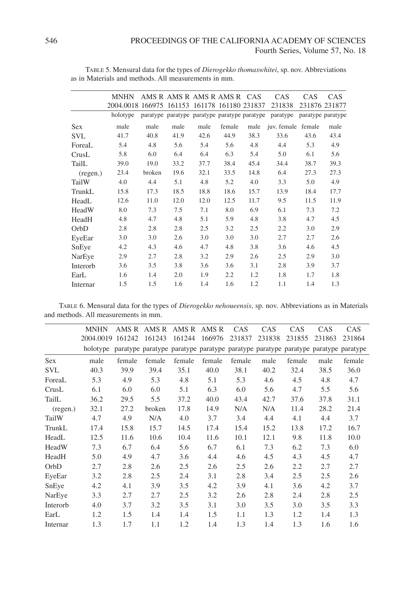|            | MNHN                                         |        | AMS R AMS R AMS R AMS R CAS                  |      |        |      | CAS                | CAS. | <b>CAS</b>        |
|------------|----------------------------------------------|--------|----------------------------------------------|------|--------|------|--------------------|------|-------------------|
|            | 2004.0018 166975 161153 161178 161180 231837 |        |                                              |      |        |      | 231838             |      | 231876 231877     |
|            | holotype                                     |        | paratype paratype paratype paratype paratype |      |        |      | paratype           |      | paratype paratype |
| <b>Sex</b> | male                                         | male   | male                                         | male | female | male | juv. female female |      | male              |
| <b>SVL</b> | 41.7                                         | 40.8   | 41.9                                         | 42.6 | 44.9   | 38.3 | 33.6               | 43.6 | 43.4              |
| ForeaL     | 5.4                                          | 4.8    | 5.6                                          | 5.4  | 5.6    | 4.8  | 4.4                | 5.3  | 4.9               |
| CrusL      | 5.8                                          | 6.0    | 6.4                                          | 6.4  | 6.3    | 5.4  | 5.0                | 6.1  | 5.6               |
| TailL      | 39.0                                         | 19.0   | 33.2                                         | 37.7 | 38.4   | 45.4 | 34.4               | 38.7 | 39.3              |
| (regen.)   | 23.4                                         | broken | 19.6                                         | 32.1 | 33.5   | 14.8 | 6.4                | 27.3 | 27.3              |
| TailW      | 4.0                                          | 4.4    | 5.1                                          | 4.8  | 5.2    | 4.0  | 3.3                | 5.0  | 4.9               |
| TrunkL     | 15.8                                         | 17.3   | 18.5                                         | 18.8 | 18.6   | 15.7 | 13.9               | 18.4 | 17.7              |
| HeadL      | 12.6                                         | 11.0   | 12.0                                         | 12.0 | 12.5   | 11.7 | 9.5                | 11.5 | 11.9              |
| HeadW      | 8.0                                          | 7.3    | 7.5                                          | 7.1  | 8.0    | 6.9  | 6.1                | 7.3  | 7.2               |
| HeadH      | 4.8                                          | 4.7    | 4.8                                          | 5.1  | 5.9    | 4.8  | 3.8                | 4.7  | 4.5               |
| OrbD       | 2.8                                          | 2.8    | 2.8                                          | 2.5  | 3.2    | 2.5  | 2.2                | 3.0  | 2.9               |
| EyeEar     | 3.0                                          | 3.0    | 2.6                                          | 3.0  | 3.0    | 3.0  | 2.7                | 2.7  | 2.6               |
| SnEye      | 4.2                                          | 4.3    | 4.6                                          | 4.7  | 4.8    | 3.8  | 3.6                | 4.6  | 4.5               |
| NarEye     | 2.9                                          | 2.7    | 2.8                                          | 3.2  | 2.9    | 2.6  | 2.5                | 2.9  | 3.0               |
| Interorb   | 3.6                                          | 3.5    | 3.8                                          | 3.6  | 3.6    | 3.1  | 2.8                | 3.9  | 3.7               |
| EarL       | 1.6                                          | 1.4    | 2.0                                          | 1.9  | 2.2    | 1.2  | 1.8                | 1.7  | 1.8               |
| Internar   | 1.5                                          | 1.5    | 1.6                                          | 1.4  | 1.6    | 1.2  | 1.1                | 1.4  | 1.3               |

TABLE 5. Mensural data for the types of *Dierogekko thomaswhitei*, sp. nov. Abbreviations as in Materials and methods. All measurements in mm.

TABLE 6. Mensural data for the types of *Dierogekko nehoueensis*, sp. nov. Abbreviations as in Materials and methods. All measurements in mm.

|            | <b>MNHN</b>                                                                               |        | AMS R AMS R AMS R AMS R |        |        | CAS    | <b>CAS</b> | <b>CAS</b> | <b>CAS</b> | <b>CAS</b> |
|------------|-------------------------------------------------------------------------------------------|--------|-------------------------|--------|--------|--------|------------|------------|------------|------------|
|            | 2004.0019 161242                                                                          |        | 161243                  | 161244 | 166976 | 231837 | 231838     | 231855     | 231863     | 231864     |
|            | holotype paratype paratype paratype paratype paratype paratype paratype paratype paratype |        |                         |        |        |        |            |            |            |            |
| <b>Sex</b> | male                                                                                      | female | female                  | female | female | female | male       | female     | male       | female     |
| <b>SVL</b> | 40.3                                                                                      | 39.9   | 39.4                    | 35.1   | 40.0   | 38.1   | 40.2       | 32.4       | 38.5       | 36.0       |
| ForeaL     | 5.3                                                                                       | 4.9    | 5.3                     | 4.8    | 5.1    | 5.3    | 4.6        | 4.5        | 4.8        | 4.7        |
| CrusL      | 6.1                                                                                       | 6.0    | 6.0                     | 5.1    | 6.3    | 6.0    | 5.6        | 4.7        | 5.5        | 5.6        |
| TailL      | 36.2                                                                                      | 29.5   | 5.5                     | 37.2   | 40.0   | 43.4   | 42.7       | 37.6       | 37.8       | 31.1       |
| (regen.)   | 32.1                                                                                      | 27.2   | broken                  | 17.8   | 14.9   | N/A    | N/A        | 11.4       | 28.2       | 21.4       |
| TailW      | 4.7                                                                                       | 4.9    | N/A                     | 4.0    | 3.7    | 3.4    | 4.4        | 4.1        | 4.4        | 3.7        |
| TrunkL     | 17.4                                                                                      | 15.8   | 15.7                    | 14.5   | 17.4   | 15.4   | 15.2       | 13.8       | 17.2       | 16.7       |
| HeadL      | 12.5                                                                                      | 11.6   | 10.6                    | 10.4   | 11.6   | 10.1   | 12.1       | 9.8        | 11.8       | 10.0       |
| HeadW      | 7.3                                                                                       | 6.7    | 6.4                     | 5.6    | 6.7    | 6.1    | 7.3        | 6.2        | 7.3        | 6.0        |
| HeadH      | 5.0                                                                                       | 4.9    | 4.7                     | 3.6    | 4.4    | 4.6    | 4.5        | 4.3        | 4.5        | 4.7        |
| OrbD       | 2.7                                                                                       | 2.8    | 2.6                     | 2.5    | 2.6    | 2.5    | 2.6        | 2.2        | 2.7        | 2.7        |
| EyeEar     | 3.2                                                                                       | 2.8    | 2.5                     | 2.4    | 3.1    | 2.8    | 3.4        | 2.5        | 2.5        | 2.6        |
| SnEye      | 4.2                                                                                       | 4.1    | 3.9                     | 3.5    | 4.2    | 3.9    | 4.1        | 3.6        | 4.2        | 3.7        |
| NarEye     | 3.3                                                                                       | 2.7    | 2.7                     | 2.5    | 3.2    | 2.6    | 2.8        | 2.4        | 2.8        | 2.5        |
| Interorb   | 4.0                                                                                       | 3.7    | 3.2                     | 3.5    | 3.1    | 3.0    | 3.5        | 3.0        | 3.5        | 3.3        |
| EarL       | 1.2                                                                                       | 1.5    | 1.4                     | 1.4    | 1.5    | 1.1    | 1.3        | 1.2        | 1.4        | 1.3        |
| Internar   | 1.3                                                                                       | 1.7    | 1.1                     | 1.2    | 1.4    | 1.3    | 1.4        | 1.3        | 1.6        | 1.6        |